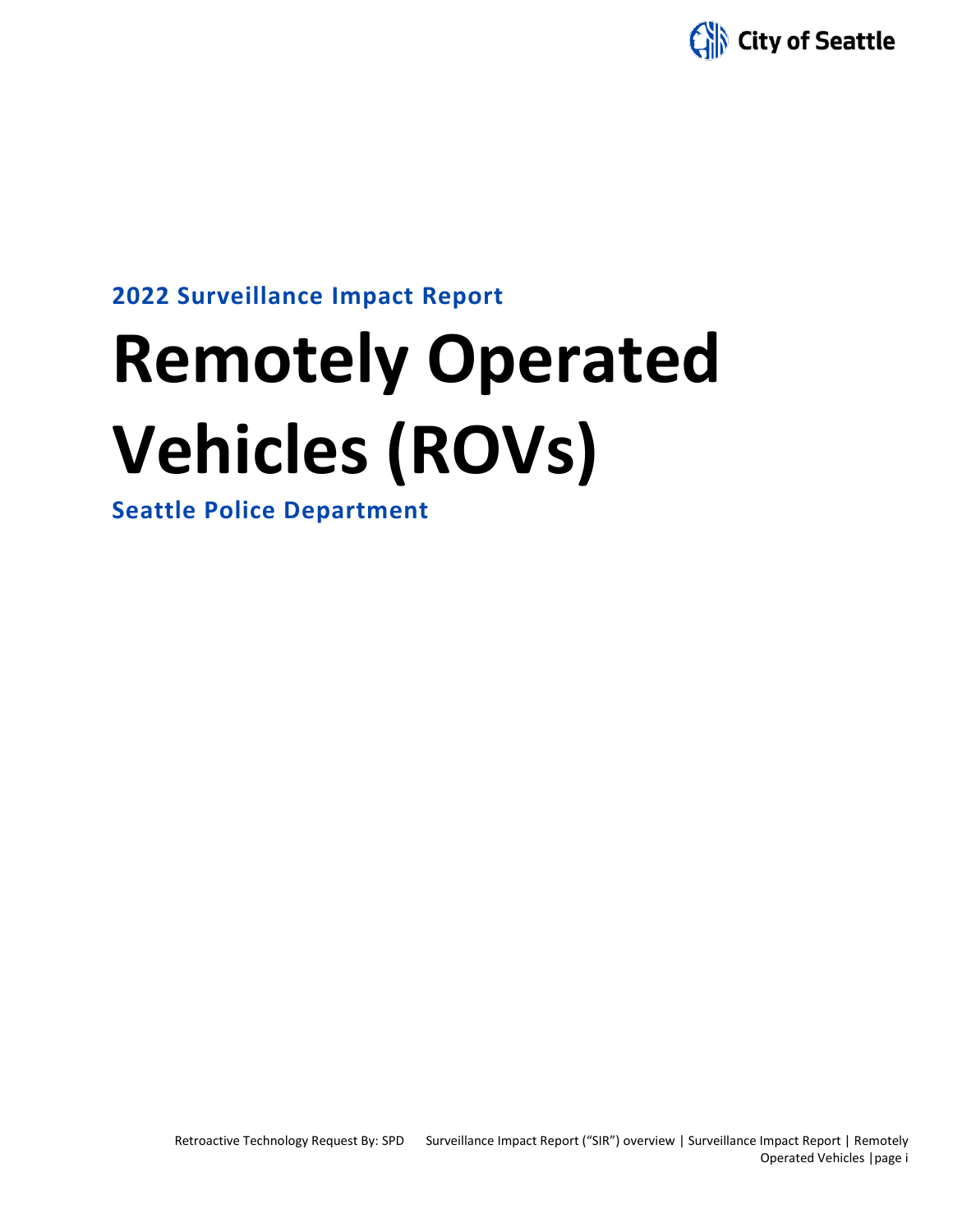

# **2022 Surveillance Impact Report**

# **Remotely Operated Vehicles (ROVs)**

**Seattle Police Department**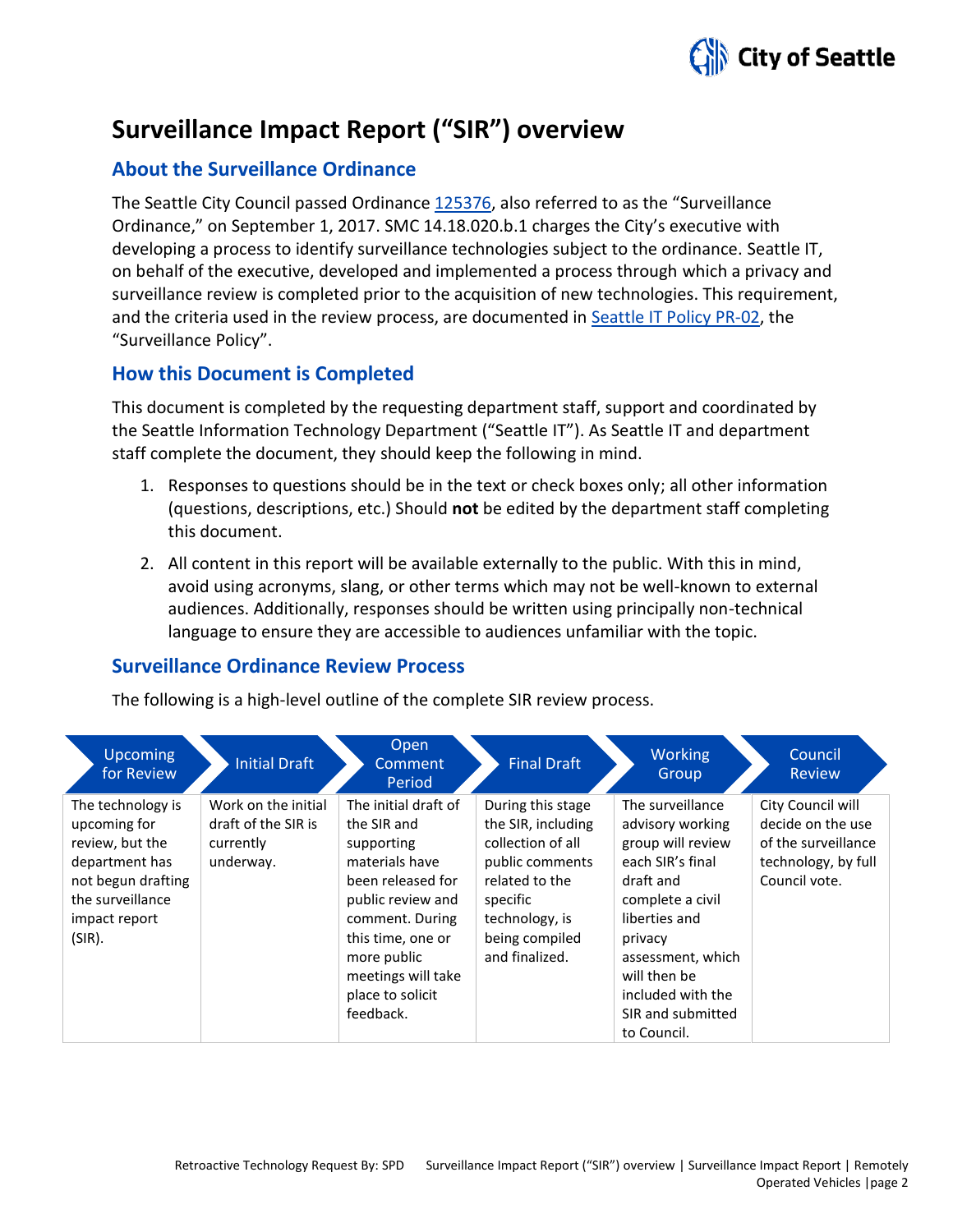

# **Surveillance Impact Report ("SIR") overview**

# **About the Surveillance Ordinance**

The Seattle City Council passed Ordinance [125376,](http://seattle.legistar.com/LegislationDetail.aspx?ID=2981172&GUID=0B2FEFC0-822F-4907-9409-E318537E5330&Options=Advanced&Search=) also referred to as the "Surveillance Ordinance," on September 1, 2017. SMC 14.18.020.b.1 charges the City's executive with developing a process to identify surveillance technologies subject to the ordinance. Seattle IT, on behalf of the executive, developed and implemented a process through which a privacy and surveillance review is completed prior to the acquisition of new technologies. This requirement, and the criteria used in the review process, are documented in Seattle IT [Policy PR-02,](https://seattlegov.sharepoint.com/sites/IT-CDR/Operating_Docs/PR-02SurveillancePolicy.pdf) the "Surveillance Policy".

# **How this Document is Completed**

This document is completed by the requesting department staff, support and coordinated by the Seattle Information Technology Department ("Seattle IT"). As Seattle IT and department staff complete the document, they should keep the following in mind.

- 1. Responses to questions should be in the text or check boxes only; all other information (questions, descriptions, etc.) Should **not** be edited by the department staff completing this document.
- 2. All content in this report will be available externally to the public. With this in mind, avoid using acronyms, slang, or other terms which may not be well-known to external audiences. Additionally, responses should be written using principally non-technical language to ensure they are accessible to audiences unfamiliar with the topic.

# **Surveillance Ordinance Review Process**

The following is a high-level outline of the complete SIR review process.

| <b>Upcoming</b><br>for Review                                                                                                               | <b>Initial Draft</b>                                                 | Open<br>Comment<br>Period                                                                                                                                                                                                   | <b>Final Draft</b>                                                                                                                                                  | Working<br>Group                                                                                                                                                                                                                         | Council<br>Review                                                                                     |
|---------------------------------------------------------------------------------------------------------------------------------------------|----------------------------------------------------------------------|-----------------------------------------------------------------------------------------------------------------------------------------------------------------------------------------------------------------------------|---------------------------------------------------------------------------------------------------------------------------------------------------------------------|------------------------------------------------------------------------------------------------------------------------------------------------------------------------------------------------------------------------------------------|-------------------------------------------------------------------------------------------------------|
| The technology is<br>upcoming for<br>review, but the<br>department has<br>not begun drafting<br>the surveillance<br>impact report<br>(SIR). | Work on the initial<br>draft of the SIR is<br>currently<br>underway. | The initial draft of<br>the SIR and<br>supporting<br>materials have<br>been released for<br>public review and<br>comment. During<br>this time, one or<br>more public<br>meetings will take<br>place to solicit<br>feedback. | During this stage<br>the SIR, including<br>collection of all<br>public comments<br>related to the<br>specific<br>technology, is<br>being compiled<br>and finalized. | The surveillance<br>advisory working<br>group will review<br>each SIR's final<br>draft and<br>complete a civil<br>liberties and<br>privacy<br>assessment, which<br>will then be<br>included with the<br>SIR and submitted<br>to Council. | City Council will<br>decide on the use<br>of the surveillance<br>technology, by full<br>Council vote. |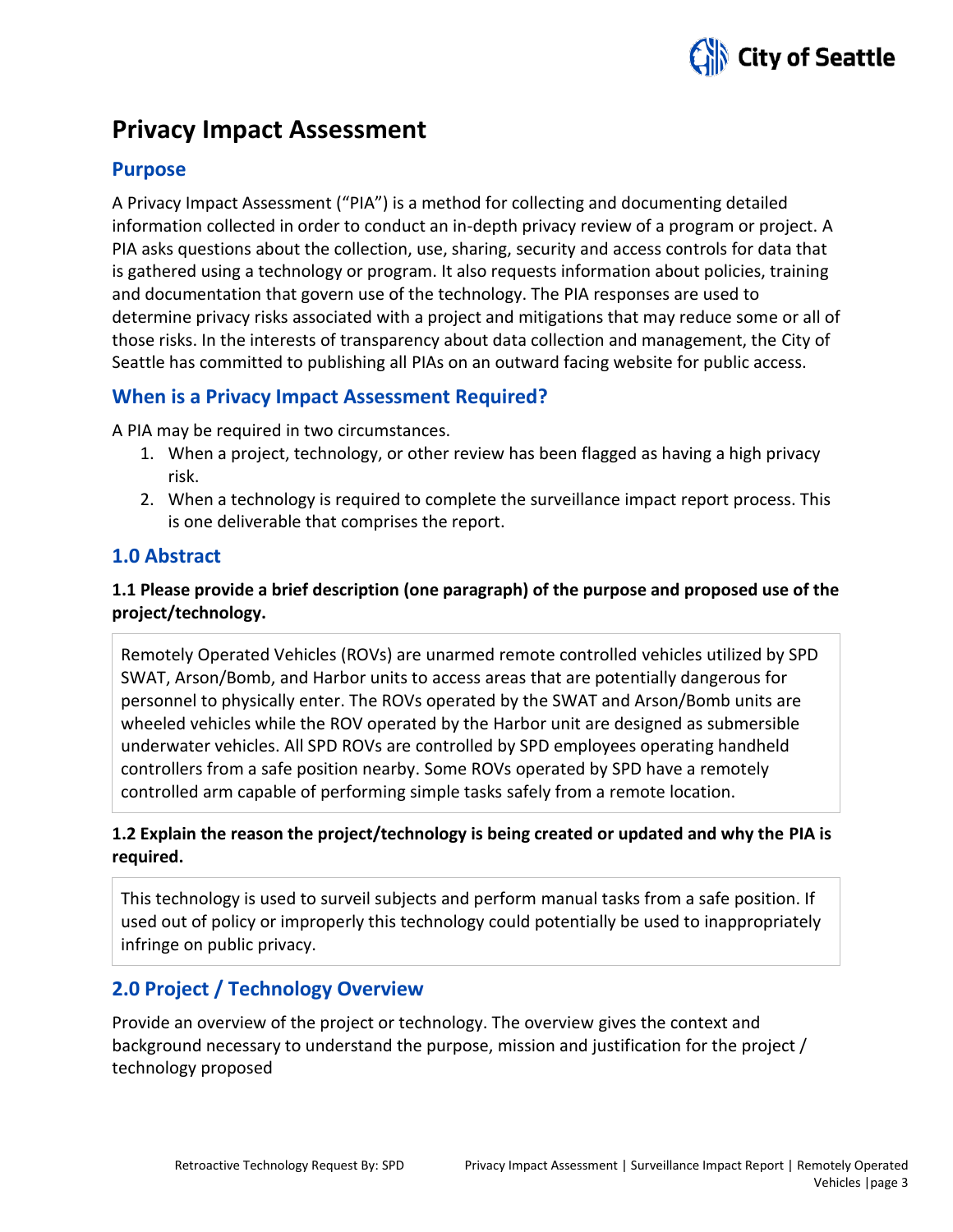

# **Privacy Impact Assessment**

## **Purpose**

A Privacy Impact Assessment ("PIA") is a method for collecting and documenting detailed information collected in order to conduct an in-depth privacy review of a program or project. A PIA asks questions about the collection, use, sharing, security and access controls for data that is gathered using a technology or program. It also requests information about policies, training and documentation that govern use of the technology. The PIA responses are used to determine privacy risks associated with a project and mitigations that may reduce some or all of those risks. In the interests of transparency about data collection and management, the City of Seattle has committed to publishing all PIAs on an outward facing website for public access.

# **When is a Privacy Impact Assessment Required?**

A PIA may be required in two circumstances.

- 1. When a project, technology, or other review has been flagged as having a high privacy risk.
- 2. When a technology is required to complete the surveillance impact report process. This is one deliverable that comprises the report.

### **1.0 Abstract**

# **1.1 Please provide a brief description (one paragraph) of the purpose and proposed use of the project/technology.**

Remotely Operated Vehicles (ROVs) are unarmed remote controlled vehicles utilized by SPD SWAT, Arson/Bomb, and Harbor units to access areas that are potentially dangerous for personnel to physically enter. The ROVs operated by the SWAT and Arson/Bomb units are wheeled vehicles while the ROV operated by the Harbor unit are designed as submersible underwater vehicles. All SPD ROVs are controlled by SPD employees operating handheld controllers from a safe position nearby. Some ROVs operated by SPD have a remotely controlled arm capable of performing simple tasks safely from a remote location.

### **1.2 Explain the reason the project/technology is being created or updated and why the PIA is required.**

This technology is used to surveil subjects and perform manual tasks from a safe position. If used out of policy or improperly this technology could potentially be used to inappropriately infringe on public privacy.

# **2.0 Project / Technology Overview**

Provide an overview of the project or technology. The overview gives the context and background necessary to understand the purpose, mission and justification for the project / technology proposed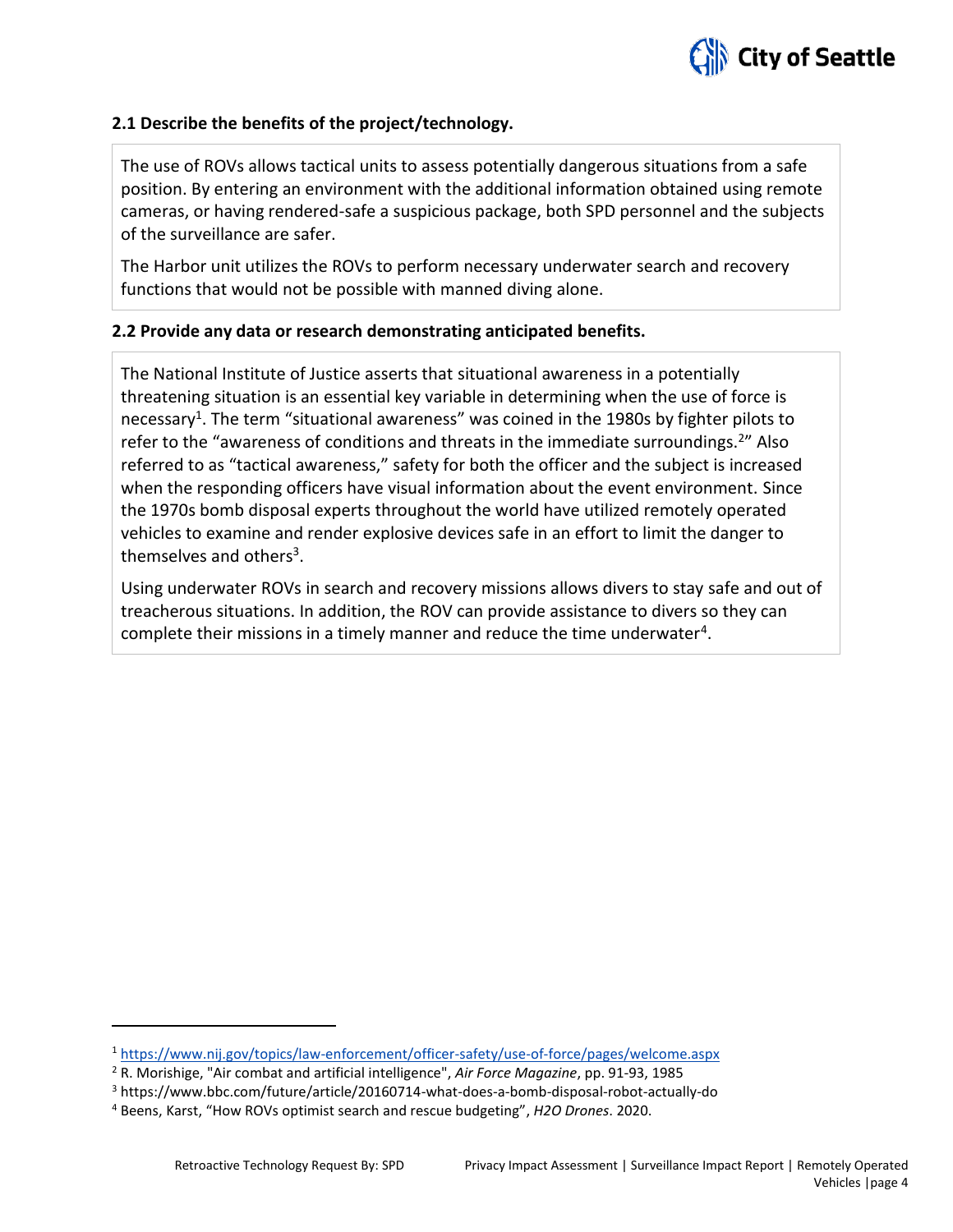

#### **2.1 Describe the benefits of the project/technology.**

The use of ROVs allows tactical units to assess potentially dangerous situations from a safe position. By entering an environment with the additional information obtained using remote cameras, or having rendered-safe a suspicious package, both SPD personnel and the subjects of the surveillance are safer.

The Harbor unit utilizes the ROVs to perform necessary underwater search and recovery functions that would not be possible with manned diving alone.

#### **2.2 Provide any data or research demonstrating anticipated benefits.**

The National Institute of Justice asserts that situational awareness in a potentially threatening situation is an essential key variable in determining when the use of force is necessary<sup>1</sup>. The term "situational awareness" was coined in the 1980s by fighter pilots to refer to the "awareness of conditions and threats in the immediate surroundings.<sup>2</sup>" Also referred to as "tactical awareness," safety for both the officer and the subject is increased when the responding officers have visual information about the event environment. Since the 1970s bomb disposal experts throughout the world have utilized remotely operated vehicles to examine and render explosive devices safe in an effort to limit the danger to themselves and others<sup>3</sup>.

Using underwater ROVs in search and recovery missions allows divers to stay safe and out of treacherous situations. In addition, the ROV can provide assistance to divers so they can complete their missions in a timely manner and reduce the time underwater<sup>4</sup>.

<sup>1</sup> <https://www.nij.gov/topics/law-enforcement/officer-safety/use-of-force/pages/welcome.aspx>

<sup>2</sup> R. Morishige, "Air combat and artificial intelligence", *Air Force Magazine*, pp. 91-93, 1985

<sup>3</sup> https://www.bbc.com/future/article/20160714-what-does-a-bomb-disposal-robot-actually-do

<sup>4</sup> Beens, Karst, "How ROVs optimist search and rescue budgeting", *H2O Drones*. 2020.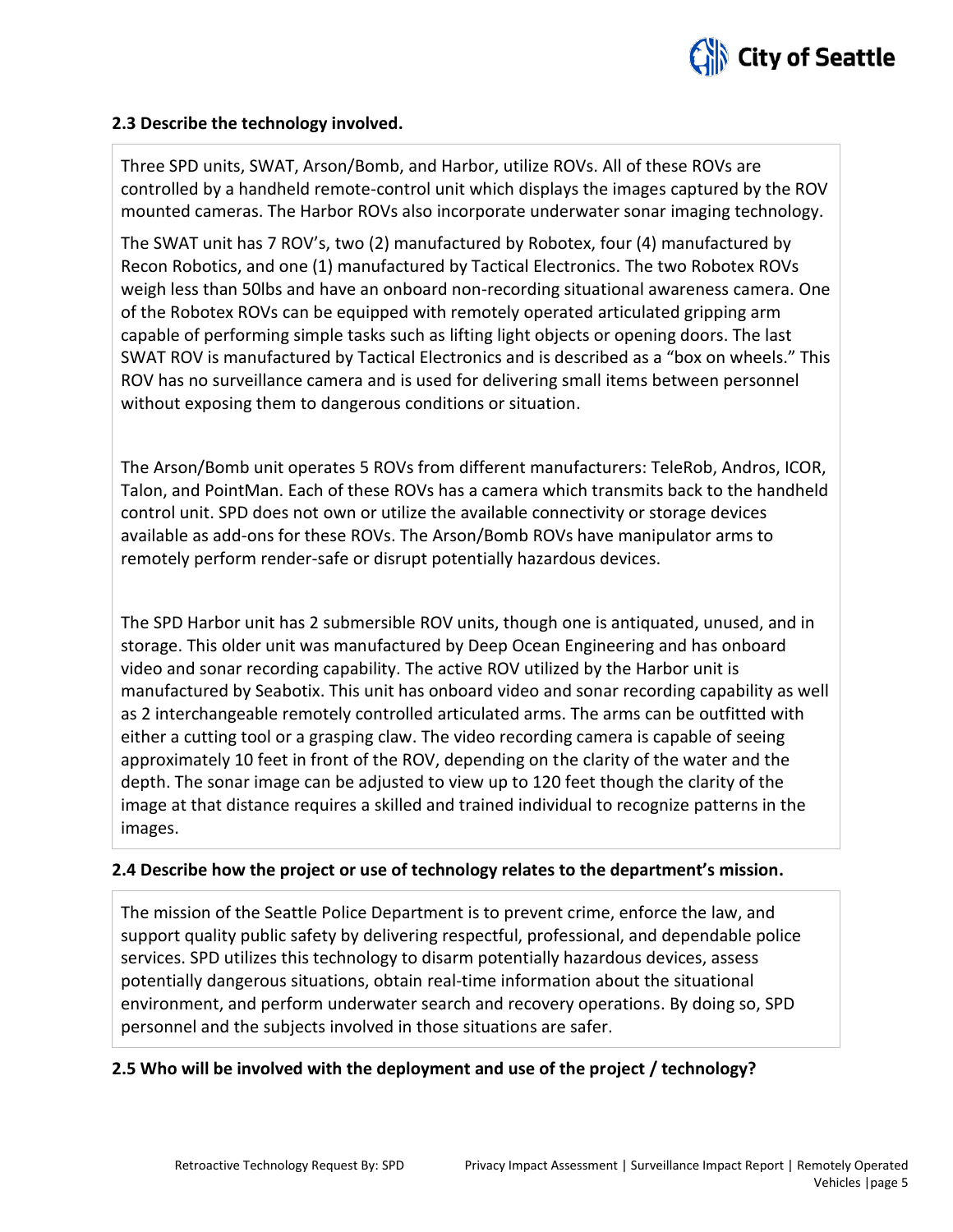

#### **2.3 Describe the technology involved.**

Three SPD units, SWAT, Arson/Bomb, and Harbor, utilize ROVs. All of these ROVs are controlled by a handheld remote-control unit which displays the images captured by the ROV mounted cameras. The Harbor ROVs also incorporate underwater sonar imaging technology.

The SWAT unit has 7 ROV's, two (2) manufactured by Robotex, four (4) manufactured by Recon Robotics, and one (1) manufactured by Tactical Electronics. The two Robotex ROVs weigh less than 50lbs and have an onboard non-recording situational awareness camera. One of the Robotex ROVs can be equipped with remotely operated articulated gripping arm capable of performing simple tasks such as lifting light objects or opening doors. The last SWAT ROV is manufactured by Tactical Electronics and is described as a "box on wheels." This ROV has no surveillance camera and is used for delivering small items between personnel without exposing them to dangerous conditions or situation.

The Arson/Bomb unit operates 5 ROVs from different manufacturers: TeleRob, Andros, ICOR, Talon, and PointMan. Each of these ROVs has a camera which transmits back to the handheld control unit. SPD does not own or utilize the available connectivity or storage devices available as add-ons for these ROVs. The Arson/Bomb ROVs have manipulator arms to remotely perform render-safe or disrupt potentially hazardous devices.

The SPD Harbor unit has 2 submersible ROV units, though one is antiquated, unused, and in storage. This older unit was manufactured by Deep Ocean Engineering and has onboard video and sonar recording capability. The active ROV utilized by the Harbor unit is manufactured by Seabotix. This unit has onboard video and sonar recording capability as well as 2 interchangeable remotely controlled articulated arms. The arms can be outfitted with either a cutting tool or a grasping claw. The video recording camera is capable of seeing approximately 10 feet in front of the ROV, depending on the clarity of the water and the depth. The sonar image can be adjusted to view up to 120 feet though the clarity of the image at that distance requires a skilled and trained individual to recognize patterns in the images.

#### **2.4 Describe how the project or use of technology relates to the department's mission.**

The mission of the Seattle Police Department is to prevent crime, enforce the law, and support quality public safety by delivering respectful, professional, and dependable police services. SPD utilizes this technology to disarm potentially hazardous devices, assess potentially dangerous situations, obtain real-time information about the situational environment, and perform underwater search and recovery operations. By doing so, SPD personnel and the subjects involved in those situations are safer.

#### **2.5 Who will be involved with the deployment and use of the project / technology?**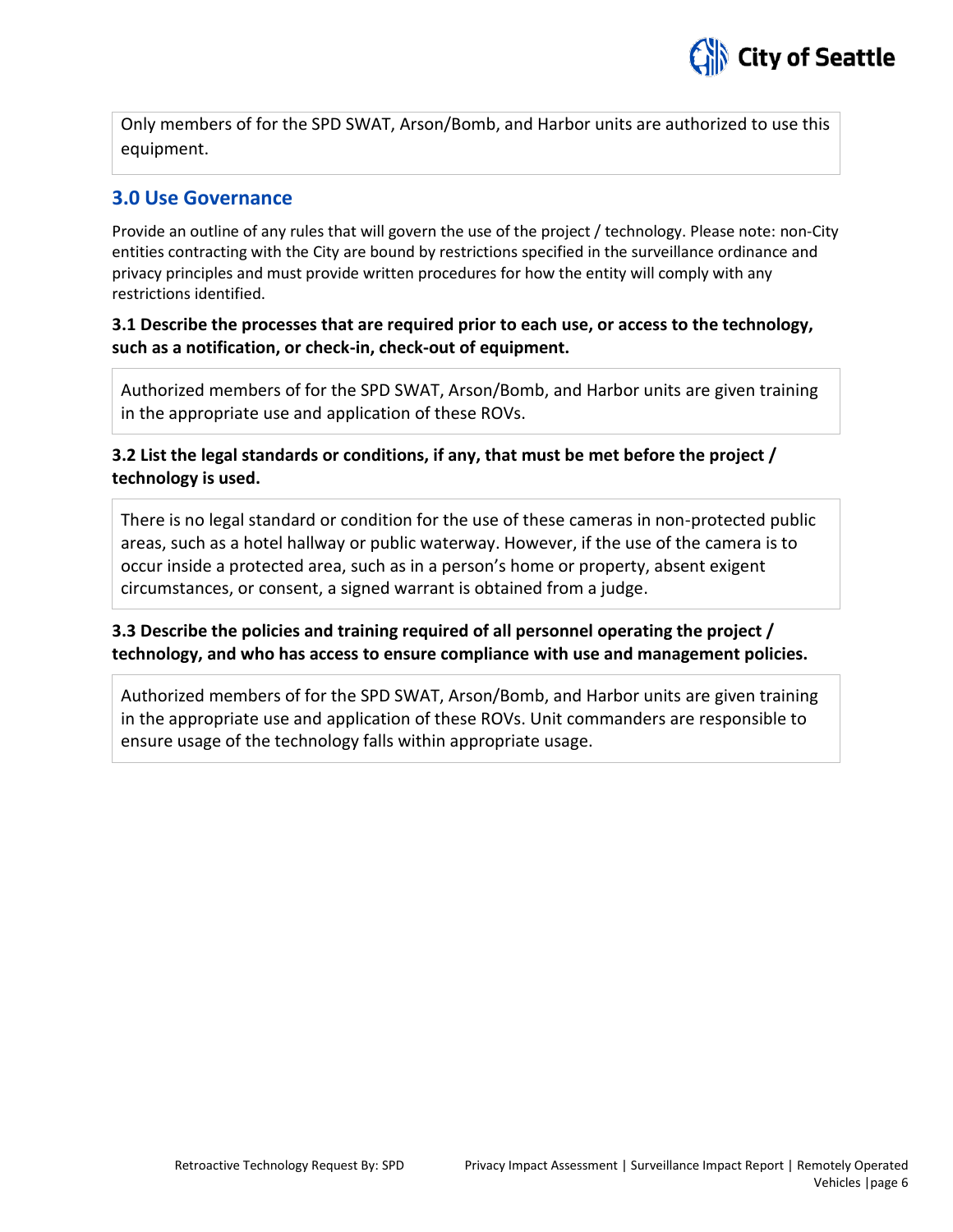

Only members of for the SPD SWAT, Arson/Bomb, and Harbor units are authorized to use this equipment.

#### **3.0 Use Governance**

Provide an outline of any rules that will govern the use of the project / technology. Please note: non-City entities contracting with the City are bound by restrictions specified in the surveillance ordinance and privacy principles and must provide written procedures for how the entity will comply with any restrictions identified.

#### **3.1 Describe the processes that are required prior to each use, or access to the technology, such as a notification, or check-in, check-out of equipment.**

Authorized members of for the SPD SWAT, Arson/Bomb, and Harbor units are given training in the appropriate use and application of these ROVs.

### **3.2 List the legal standards or conditions, if any, that must be met before the project / technology is used.**

There is no legal standard or condition for the use of these cameras in non-protected public areas, such as a hotel hallway or public waterway. However, if the use of the camera is to occur inside a protected area, such as in a person's home or property, absent exigent circumstances, or consent, a signed warrant is obtained from a judge.

#### **3.3 Describe the policies and training required of all personnel operating the project / technology, and who has access to ensure compliance with use and management policies.**

Authorized members of for the SPD SWAT, Arson/Bomb, and Harbor units are given training in the appropriate use and application of these ROVs. Unit commanders are responsible to ensure usage of the technology falls within appropriate usage.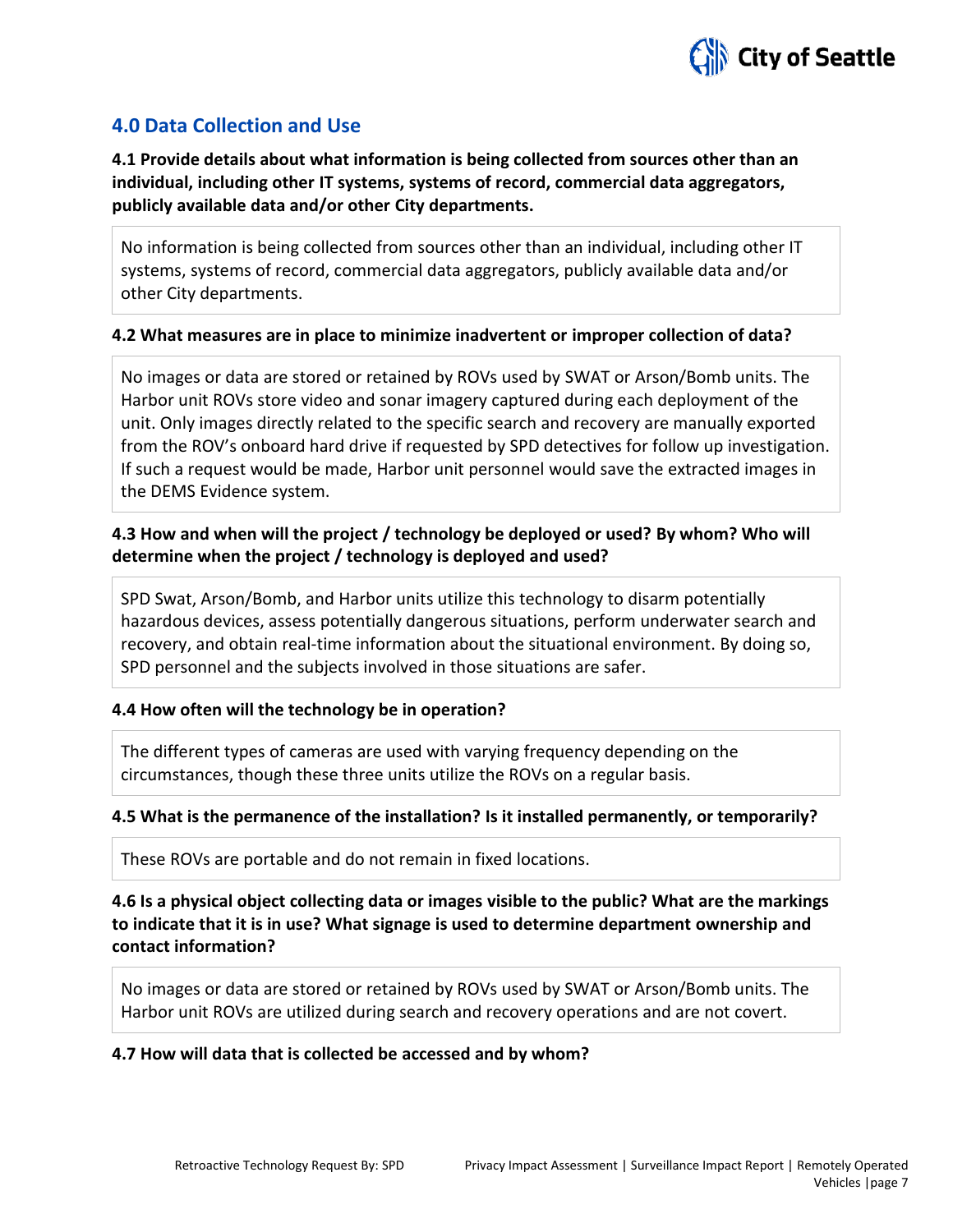

# **4.0 Data Collection and Use**

**4.1 Provide details about what information is being collected from sources other than an individual, including other IT systems, systems of record, commercial data aggregators, publicly available data and/or other City departments.**

No information is being collected from sources other than an individual, including other IT systems, systems of record, commercial data aggregators, publicly available data and/or other City departments.

#### **4.2 What measures are in place to minimize inadvertent or improper collection of data?**

No images or data are stored or retained by ROVs used by SWAT or Arson/Bomb units. The Harbor unit ROVs store video and sonar imagery captured during each deployment of the unit. Only images directly related to the specific search and recovery are manually exported from the ROV's onboard hard drive if requested by SPD detectives for follow up investigation. If such a request would be made, Harbor unit personnel would save the extracted images in the DEMS Evidence system.

#### **4.3 How and when will the project / technology be deployed or used? By whom? Who will determine when the project / technology is deployed and used?**

SPD Swat, Arson/Bomb, and Harbor units utilize this technology to disarm potentially hazardous devices, assess potentially dangerous situations, perform underwater search and recovery, and obtain real-time information about the situational environment. By doing so, SPD personnel and the subjects involved in those situations are safer.

#### **4.4 How often will the technology be in operation?**

The different types of cameras are used with varying frequency depending on the circumstances, though these three units utilize the ROVs on a regular basis.

#### **4.5 What is the permanence of the installation? Is it installed permanently, or temporarily?**

These ROVs are portable and do not remain in fixed locations.

**4.6 Is a physical object collecting data or images visible to the public? What are the markings to indicate that it is in use? What signage is used to determine department ownership and contact information?**

No images or data are stored or retained by ROVs used by SWAT or Arson/Bomb units. The Harbor unit ROVs are utilized during search and recovery operations and are not covert.

#### **4.7 How will data that is collected be accessed and by whom?**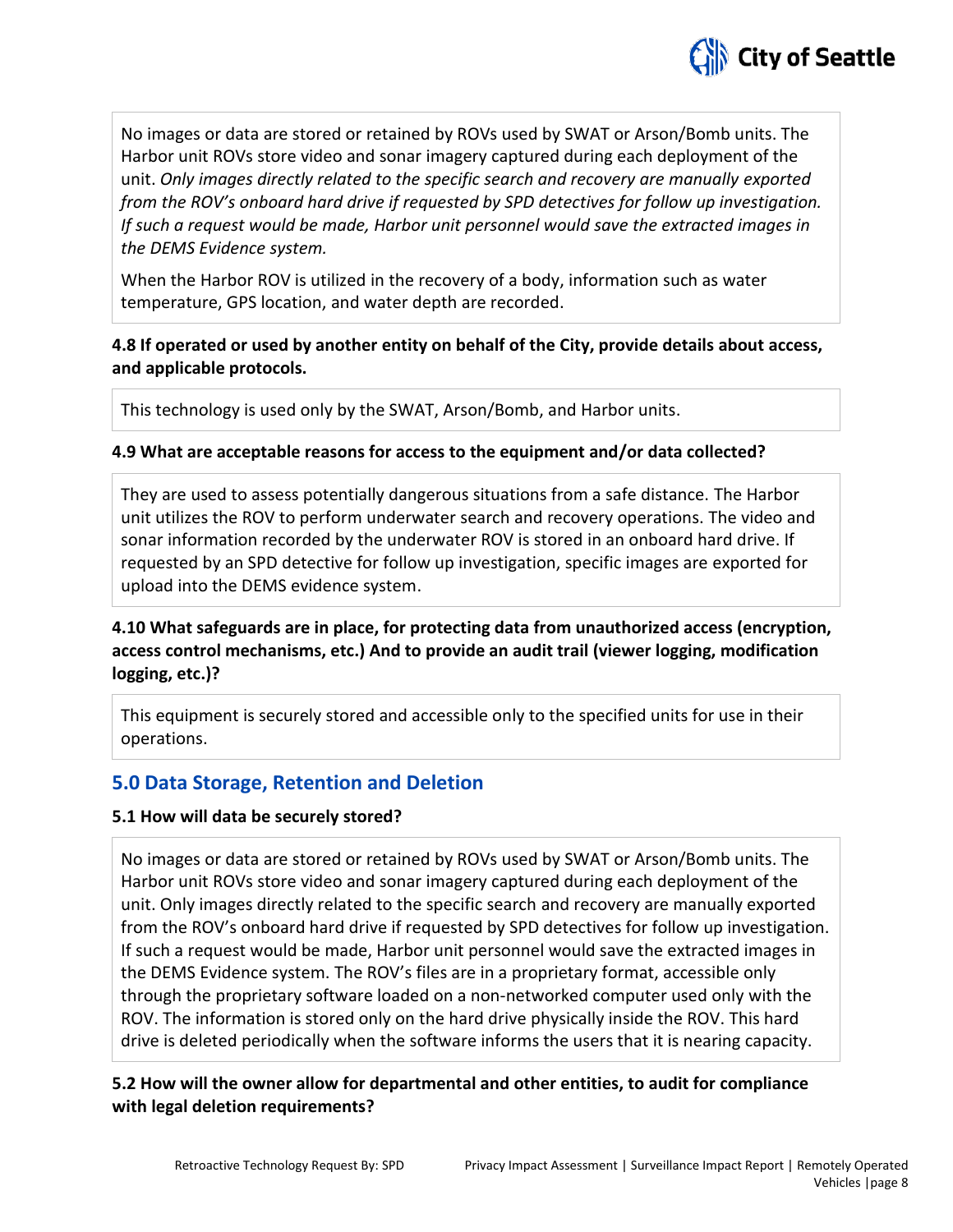

No images or data are stored or retained by ROVs used by SWAT or Arson/Bomb units. The Harbor unit ROVs store video and sonar imagery captured during each deployment of the unit. *Only images directly related to the specific search and recovery are manually exported from the ROV's onboard hard drive if requested by SPD detectives for follow up investigation. If such a request would be made, Harbor unit personnel would save the extracted images in the DEMS Evidence system.*

When the Harbor ROV is utilized in the recovery of a body, information such as water temperature, GPS location, and water depth are recorded.

# **4.8 If operated or used by another entity on behalf of the City, provide details about access, and applicable protocols.**

This technology is used only by the SWAT, Arson/Bomb, and Harbor units.

### **4.9 What are acceptable reasons for access to the equipment and/or data collected?**

They are used to assess potentially dangerous situations from a safe distance. The Harbor unit utilizes the ROV to perform underwater search and recovery operations. The video and sonar information recorded by the underwater ROV is stored in an onboard hard drive. If requested by an SPD detective for follow up investigation, specific images are exported for upload into the DEMS evidence system.

# **4.10 What safeguards are in place, for protecting data from unauthorized access (encryption, access control mechanisms, etc.) And to provide an audit trail (viewer logging, modification logging, etc.)?**

This equipment is securely stored and accessible only to the specified units for use in their operations.

# **5.0 Data Storage, Retention and Deletion**

# **5.1 How will data be securely stored?**

No images or data are stored or retained by ROVs used by SWAT or Arson/Bomb units. The Harbor unit ROVs store video and sonar imagery captured during each deployment of the unit. Only images directly related to the specific search and recovery are manually exported from the ROV's onboard hard drive if requested by SPD detectives for follow up investigation. If such a request would be made, Harbor unit personnel would save the extracted images in the DEMS Evidence system. The ROV's files are in a proprietary format, accessible only through the proprietary software loaded on a non-networked computer used only with the ROV. The information is stored only on the hard drive physically inside the ROV. This hard drive is deleted periodically when the software informs the users that it is nearing capacity.

# **5.2 How will the owner allow for departmental and other entities, to audit for compliance with legal deletion requirements?**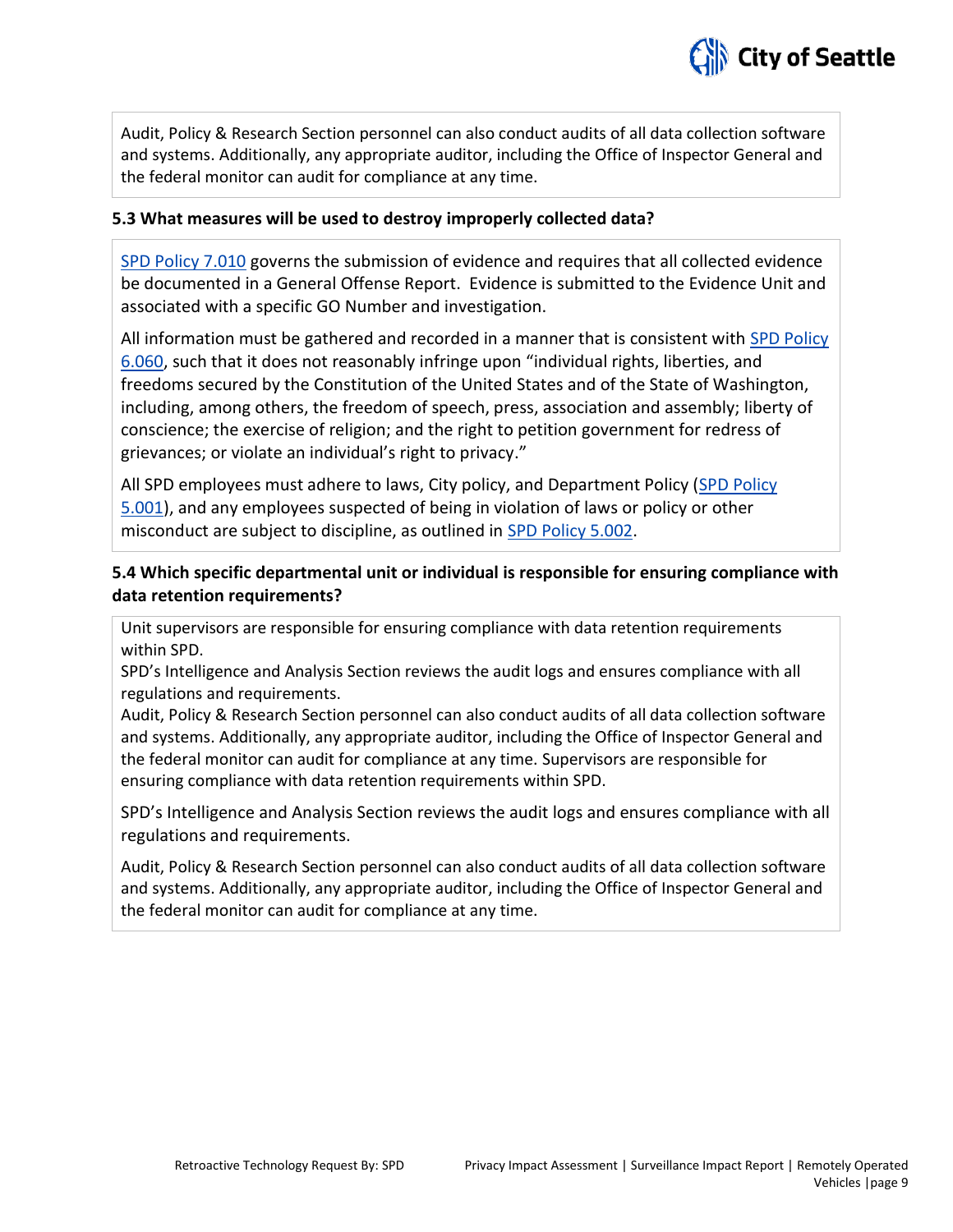

Audit, Policy & Research Section personnel can also conduct audits of all data collection software and systems. Additionally, any appropriate auditor, including the Office of Inspector General and the federal monitor can audit for compliance at any time.

#### **5.3 What measures will be used to destroy improperly collected data?**

[SPD Policy 7.010](http://www.seattle.gov/police-manual/title-7---evidence-and-property/7010---submitting-evidence) governs the submission of evidence and requires that all collected evidence be documented in a General Offense Report. Evidence is submitted to the Evidence Unit and associated with a specific GO Number and investigation.

All information must be gathered and recorded in a manner that is consistent with [SPD Policy](http://www.seattle.gov/police-manual/title-6---arrests-search-and-seizure/6060---collection-of-information-for-law-enforcement-purposes)  [6.060,](http://www.seattle.gov/police-manual/title-6---arrests-search-and-seizure/6060---collection-of-information-for-law-enforcement-purposes) such that it does not reasonably infringe upon "individual rights, liberties, and freedoms secured by the Constitution of the United States and of the State of Washington, including, among others, the freedom of speech, press, association and assembly; liberty of conscience; the exercise of religion; and the right to petition government for redress of grievances; or violate an individual's right to privacy."

All SPD employees must adhere to laws, City policy, and Department Policy [\(SPD Policy](http://www.seattle.gov/police-manual/title-5---employee-conduct/5001---standards-and-duties)  [5.001\)](http://www.seattle.gov/police-manual/title-5---employee-conduct/5001---standards-and-duties), and any employees suspected of being in violation of laws or policy or other misconduct are subject to discipline, as outlined in [SPD Policy 5.002.](http://www.seattle.gov/police-manual/title-5---employee-conduct/5002---responsibilities-of-employees-concerning-alleged-policy-violations)

### **5.4 Which specific departmental unit or individual is responsible for ensuring compliance with data retention requirements?**

Unit supervisors are responsible for ensuring compliance with data retention requirements within SPD.

SPD's Intelligence and Analysis Section reviews the audit logs and ensures compliance with all regulations and requirements.

Audit, Policy & Research Section personnel can also conduct audits of all data collection software and systems. Additionally, any appropriate auditor, including the Office of Inspector General and the federal monitor can audit for compliance at any time. Supervisors are responsible for ensuring compliance with data retention requirements within SPD.

SPD's Intelligence and Analysis Section reviews the audit logs and ensures compliance with all regulations and requirements.

Audit, Policy & Research Section personnel can also conduct audits of all data collection software and systems. Additionally, any appropriate auditor, including the Office of Inspector General and the federal monitor can audit for compliance at any time.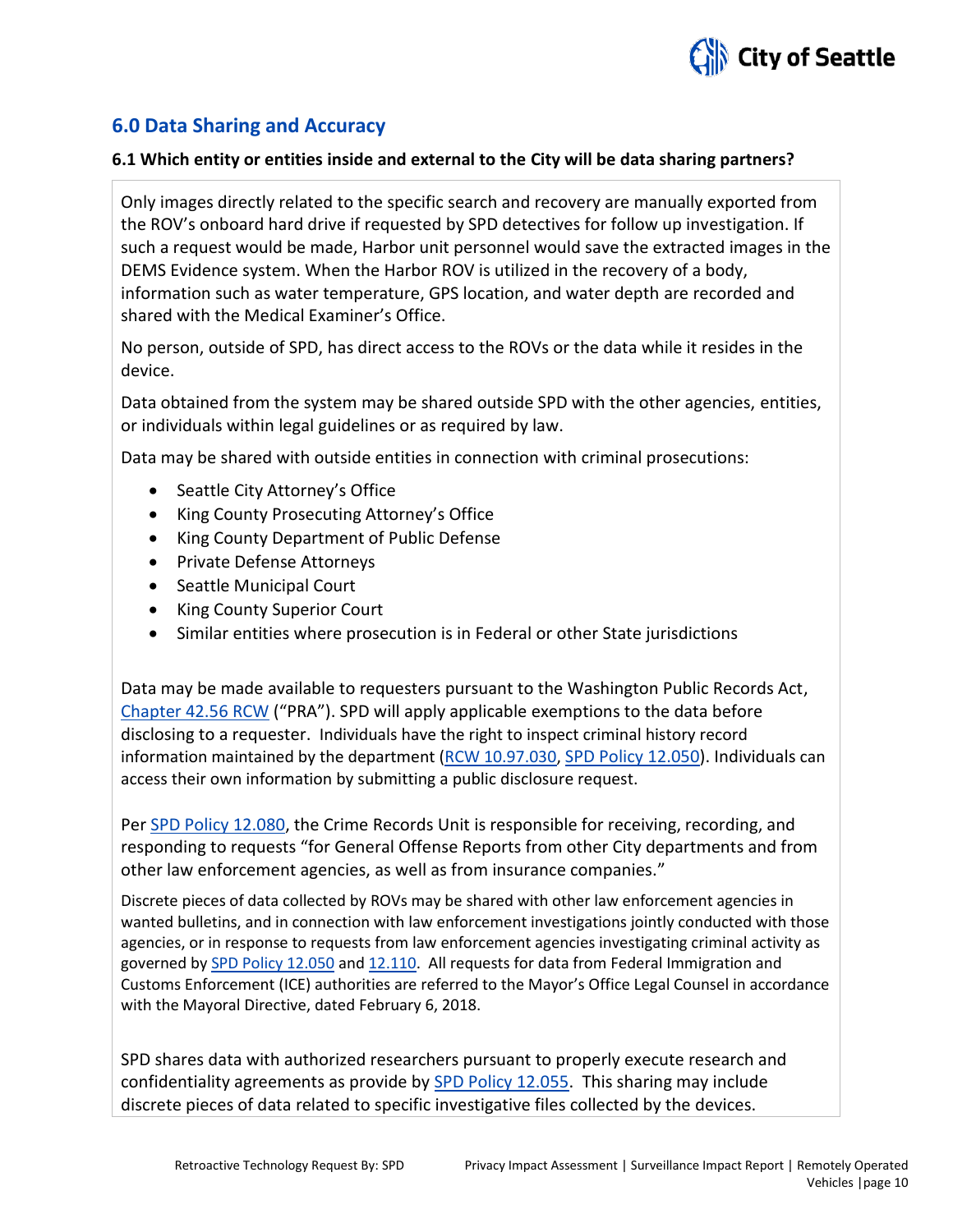

# **6.0 Data Sharing and Accuracy**

#### **6.1 Which entity or entities inside and external to the City will be data sharing partners?**

Only images directly related to the specific search and recovery are manually exported from the ROV's onboard hard drive if requested by SPD detectives for follow up investigation. If such a request would be made, Harbor unit personnel would save the extracted images in the DEMS Evidence system. When the Harbor ROV is utilized in the recovery of a body, information such as water temperature, GPS location, and water depth are recorded and shared with the Medical Examiner's Office.

No person, outside of SPD, has direct access to the ROVs or the data while it resides in the device.

Data obtained from the system may be shared outside SPD with the other agencies, entities, or individuals within legal guidelines or as required by law.

Data may be shared with outside entities in connection with criminal prosecutions:

- Seattle City Attorney's Office
- King County Prosecuting Attorney's Office
- King County Department of Public Defense
- Private Defense Attorneys
- Seattle Municipal Court
- King County Superior Court
- Similar entities where prosecution is in Federal or other State jurisdictions

Data may be made available to requesters pursuant to the Washington Public Records Act, [Chapter 42.56 RCW](http://apps.leg.wa.gov/RCW/default.aspx?cite=42.56) ("PRA"). SPD will apply applicable exemptions to the data before disclosing to a requester. Individuals have the right to inspect criminal history record information maintained by the department [\(RCW 10.97.030,](http://app.leg.wa.gov/rcw/default.aspx?cite=10.97.030) SPD [Policy 12.050\)](http://www.seattle.gov/police-manual/title-12---department-information-systems/12050---criminal-justice-information-systems). Individuals can access their own information by submitting a public disclosure request.

Pe[r SPD Policy 12.080,](http://www.seattle.gov/police-manual/title-12---department-information-systems/12080---department-records-access-inspection-and-dissemination) the Crime Records Unit is responsible for receiving, recording, and responding to requests "for General Offense Reports from other City departments and from other law enforcement agencies, as well as from insurance companies."

Discrete pieces of data collected by ROVs may be shared with other law enforcement agencies in wanted bulletins, and in connection with law enforcement investigations jointly conducted with those agencies, or in response to requests from law enforcement agencies investigating criminal activity as governed b[y SPD Policy 12.050](http://www.seattle.gov/police-manual/title-12---department-information-systems/12050---criminal-justice-information-systems) and [12.110.](http://www.seattle.gov/police-manual/title-12---department-information-systems/12110---use-of-department-e-mail-and-internet-systems) All requests for data from Federal Immigration and Customs Enforcement (ICE) authorities are referred to the Mayor's Office Legal Counsel in accordance with the Mayoral Directive, dated February 6, 2018.

SPD shares data with authorized researchers pursuant to properly execute research and confidentiality agreements as provide by [SPD Policy 12.055.](http://www.seattle.gov/police-manual/title-12---department-information-systems/12055---criminal-justice-research) This sharing may include discrete pieces of data related to specific investigative files collected by the devices.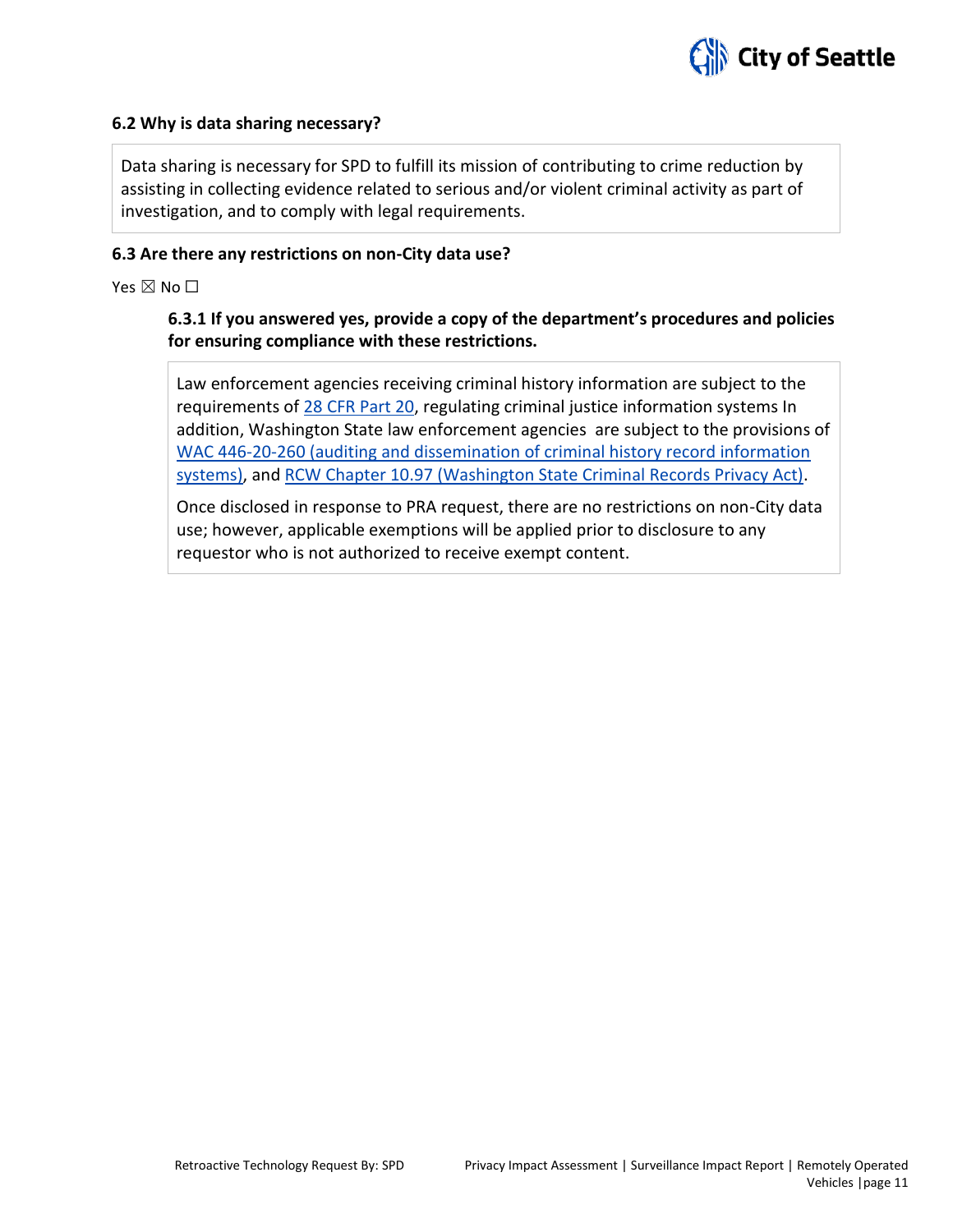

#### **6.2 Why is data sharing necessary?**

Data sharing is necessary for SPD to fulfill its mission of contributing to crime reduction by assisting in collecting evidence related to serious and/or violent criminal activity as part of investigation, and to comply with legal requirements.

#### **6.3 Are there any restrictions on non-City data use?**

Yes  $\boxtimes$  No  $\square$ 

### **6.3.1 If you answered yes, provide a copy of the department's procedures and policies for ensuring compliance with these restrictions.**

Law enforcement agencies receiving criminal history information are subject to the requirements of [28 CFR Part 20,](https://www.ecfr.gov/cgi-bin/text-idx?tpl=/ecfrbrowse/Title28/28cfr20_main_02.tpl) regulating criminal justice information systems In addition, Washington State law enforcement agencies are subject to the provisions of [WAC 446-20-260](http://apps.leg.wa.gov/wac/default.aspx?cite=446-20-260) (auditing and dissemination of criminal history record information systems), and [RCW Chapter 10.97](http://app.leg.wa.gov/rcw/default.aspx?cite=10.97) (Washington State Criminal Records Privacy Act).

Once disclosed in response to PRA request, there are no restrictions on non-City data use; however, applicable exemptions will be applied prior to disclosure to any requestor who is not authorized to receive exempt content.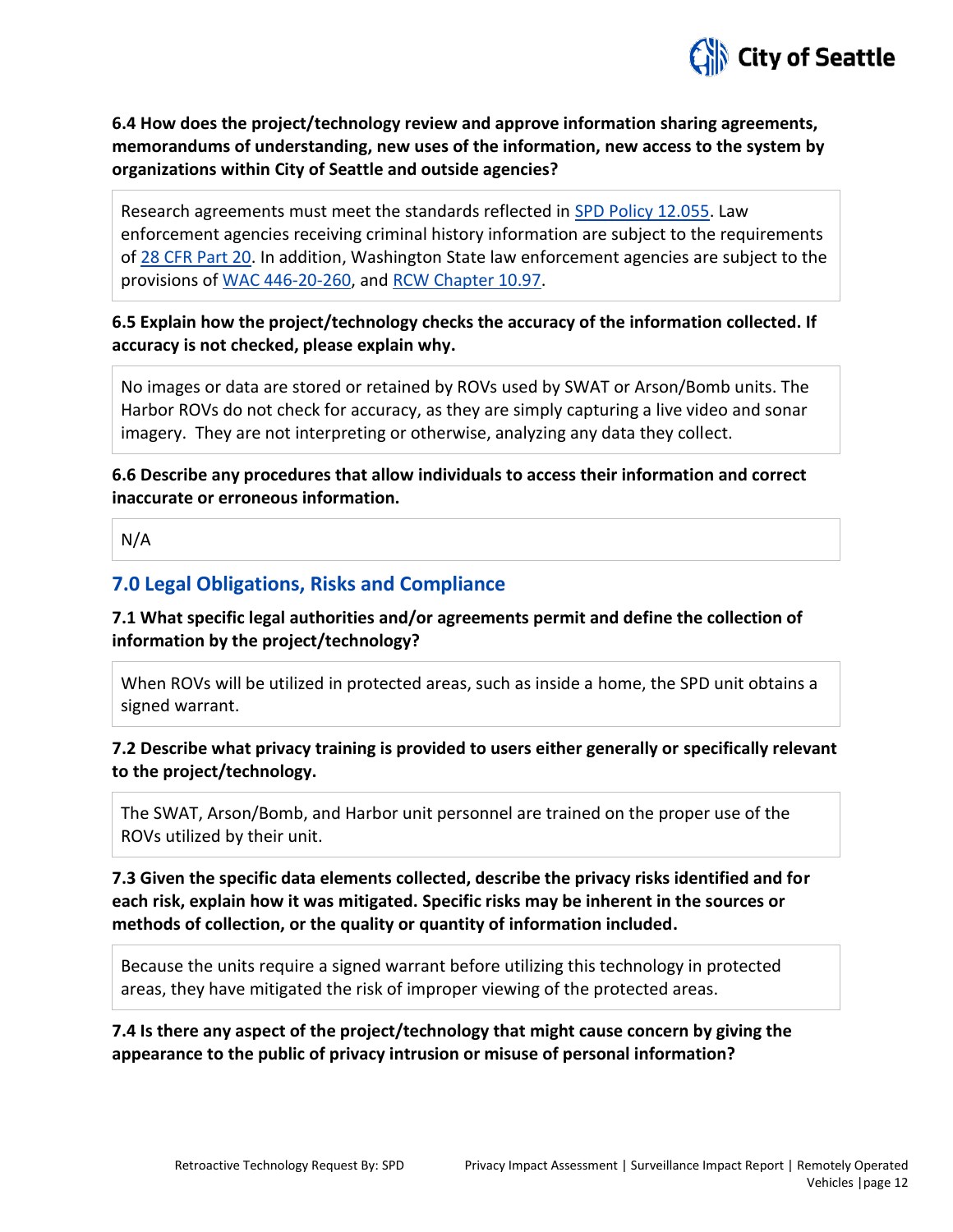

**6.4 How does the project/technology review and approve information sharing agreements, memorandums of understanding, new uses of the information, new access to the system by organizations within City of Seattle and outside agencies?**

Research agreements must meet the standards reflected in [SPD Policy 12.055.](http://www.seattle.gov/police-manual/title-12---department-information-systems/12055---criminal-justice-research) Law enforcement agencies receiving criminal history information are subject to the requirements of [28 CFR Part 20.](https://www.ecfr.gov/cgi-bin/text-idx?tpl=/ecfrbrowse/Title28/28cfr20_main_02.tpl) In addition, Washington State law enforcement agencies are subject to the provisions of [WAC 446-20-260,](http://apps.leg.wa.gov/wac/default.aspx?cite=446-20-260) and [RCW Chapter 10.97.](http://app.leg.wa.gov/rcw/default.aspx?cite=10.97)

## **6.5 Explain how the project/technology checks the accuracy of the information collected. If accuracy is not checked, please explain why.**

No images or data are stored or retained by ROVs used by SWAT or Arson/Bomb units. The Harbor ROVs do not check for accuracy, as they are simply capturing a live video and sonar imagery. They are not interpreting or otherwise, analyzing any data they collect.

**6.6 Describe any procedures that allow individuals to access their information and correct inaccurate or erroneous information.**

N/A

# **7.0 Legal Obligations, Risks and Compliance**

**7.1 What specific legal authorities and/or agreements permit and define the collection of information by the project/technology?**

When ROVs will be utilized in protected areas, such as inside a home, the SPD unit obtains a signed warrant.

# **7.2 Describe what privacy training is provided to users either generally or specifically relevant to the project/technology.**

The SWAT, Arson/Bomb, and Harbor unit personnel are trained on the proper use of the ROVs utilized by their unit.

# **7.3 Given the specific data elements collected, describe the privacy risks identified and for each risk, explain how it was mitigated. Specific risks may be inherent in the sources or methods of collection, or the quality or quantity of information included.**

Because the units require a signed warrant before utilizing this technology in protected areas, they have mitigated the risk of improper viewing of the protected areas.

**7.4 Is there any aspect of the project/technology that might cause concern by giving the appearance to the public of privacy intrusion or misuse of personal information?**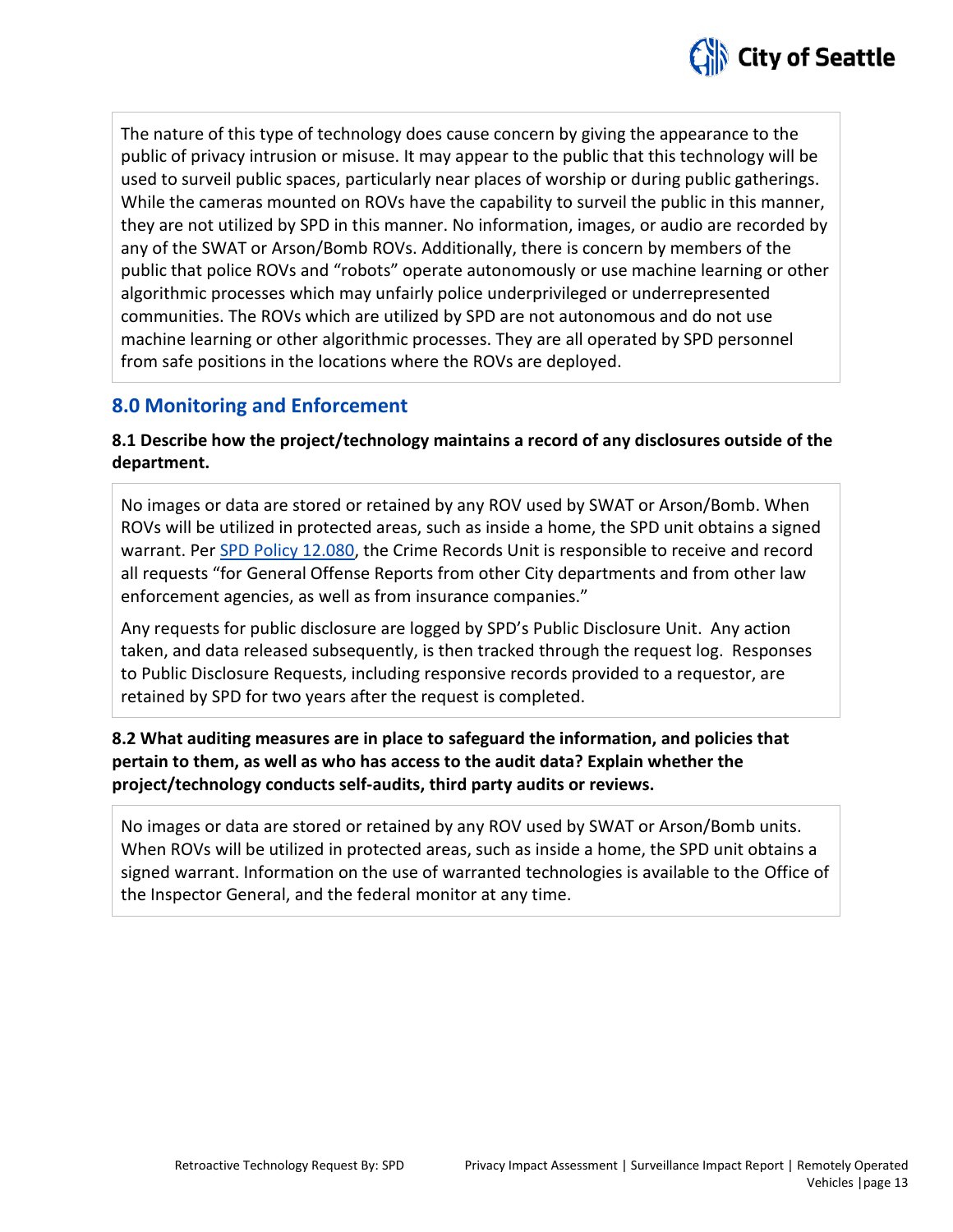

The nature of this type of technology does cause concern by giving the appearance to the public of privacy intrusion or misuse. It may appear to the public that this technology will be used to surveil public spaces, particularly near places of worship or during public gatherings. While the cameras mounted on ROVs have the capability to surveil the public in this manner, they are not utilized by SPD in this manner. No information, images, or audio are recorded by any of the SWAT or Arson/Bomb ROVs. Additionally, there is concern by members of the public that police ROVs and "robots" operate autonomously or use machine learning or other algorithmic processes which may unfairly police underprivileged or underrepresented communities. The ROVs which are utilized by SPD are not autonomous and do not use machine learning or other algorithmic processes. They are all operated by SPD personnel from safe positions in the locations where the ROVs are deployed.

# **8.0 Monitoring and Enforcement**

### **8.1 Describe how the project/technology maintains a record of any disclosures outside of the department.**

No images or data are stored or retained by any ROV used by SWAT or Arson/Bomb. When ROVs will be utilized in protected areas, such as inside a home, the SPD unit obtains a signed warrant. Per [SPD Policy 12.080,](http://www.seattle.gov/police-manual/title-12---department-information-systems/12080---department-records-access-inspection-and-dissemination) the Crime Records Unit is responsible to receive and record all requests "for General Offense Reports from other City departments and from other law enforcement agencies, as well as from insurance companies."

Any requests for public disclosure are logged by SPD's Public Disclosure Unit. Any action taken, and data released subsequently, is then tracked through the request log. Responses to Public Disclosure Requests, including responsive records provided to a requestor, are retained by SPD for two years after the request is completed.

# **8.2 What auditing measures are in place to safeguard the information, and policies that pertain to them, as well as who has access to the audit data? Explain whether the project/technology conducts self-audits, third party audits or reviews.**

No images or data are stored or retained by any ROV used by SWAT or Arson/Bomb units. When ROVs will be utilized in protected areas, such as inside a home, the SPD unit obtains a signed warrant. Information on the use of warranted technologies is available to the Office of the Inspector General, and the federal monitor at any time.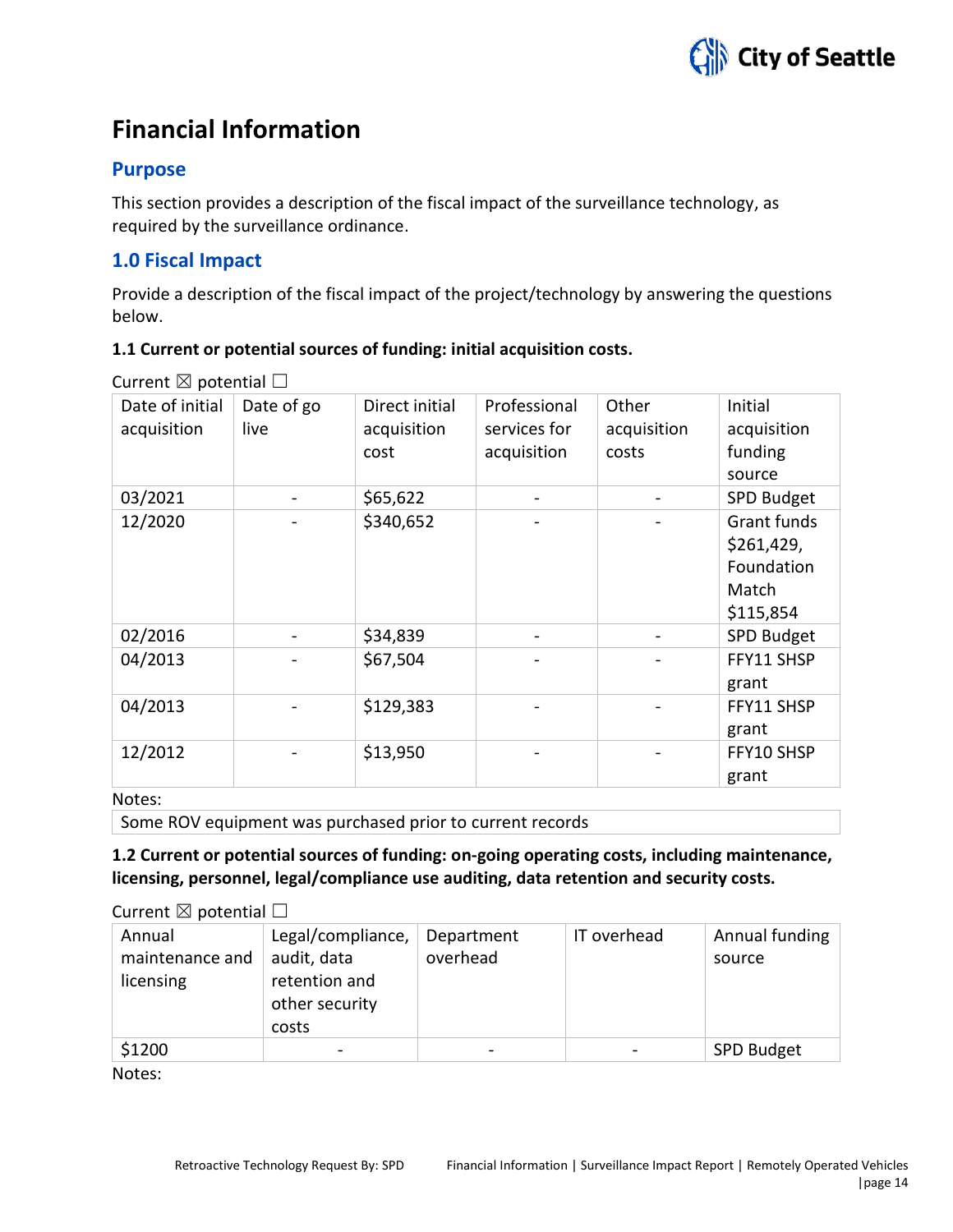# **Financial Information**

# **Purpose**

This section provides a description of the fiscal impact of the surveillance technology, as required by the surveillance ordinance.

# **1.0 Fiscal Impact**

Provide a description of the fiscal impact of the project/technology by answering the questions below.

# **1.1 Current or potential sources of funding: initial acquisition costs.**

| Date of initial<br>acquisition | Date of go<br>live | Direct initial<br>acquisition<br>cost | Professional<br>services for<br>acquisition | Other<br>acquisition<br>costs | Initial<br>acquisition<br>funding<br>source                   |
|--------------------------------|--------------------|---------------------------------------|---------------------------------------------|-------------------------------|---------------------------------------------------------------|
| 03/2021                        |                    | \$65,622                              |                                             |                               | SPD Budget                                                    |
| 12/2020                        |                    | \$340,652                             |                                             |                               | Grant funds<br>\$261,429,<br>Foundation<br>Match<br>\$115,854 |
| 02/2016                        |                    | \$34,839                              |                                             |                               | SPD Budget                                                    |
| 04/2013                        |                    | \$67,504                              |                                             |                               | FFY11 SHSP<br>grant                                           |
| 04/2013                        |                    | \$129,383                             |                                             |                               | FFY11 SHSP<br>grant                                           |
| 12/2012                        |                    | \$13,950                              |                                             |                               | FFY10 SHSP<br>grant                                           |

Current  $\boxtimes$  potential  $\Box$ 

Notes:

Some ROV equipment was purchased prior to current records

# **1.2 Current or potential sources of funding: on-going operating costs, including maintenance, licensing, personnel, legal/compliance use auditing, data retention and security costs.**

#### Current  $\boxtimes$  notential  $\Box$

| Annual<br>maintenance and<br>licensing | Legal/compliance,<br>audit, data<br>retention and<br>other security<br>costs | Department<br>overhead | IT overhead | Annual funding<br>source |
|----------------------------------------|------------------------------------------------------------------------------|------------------------|-------------|--------------------------|
| \$1200                                 |                                                                              |                        |             | SPD Budget               |

Notes: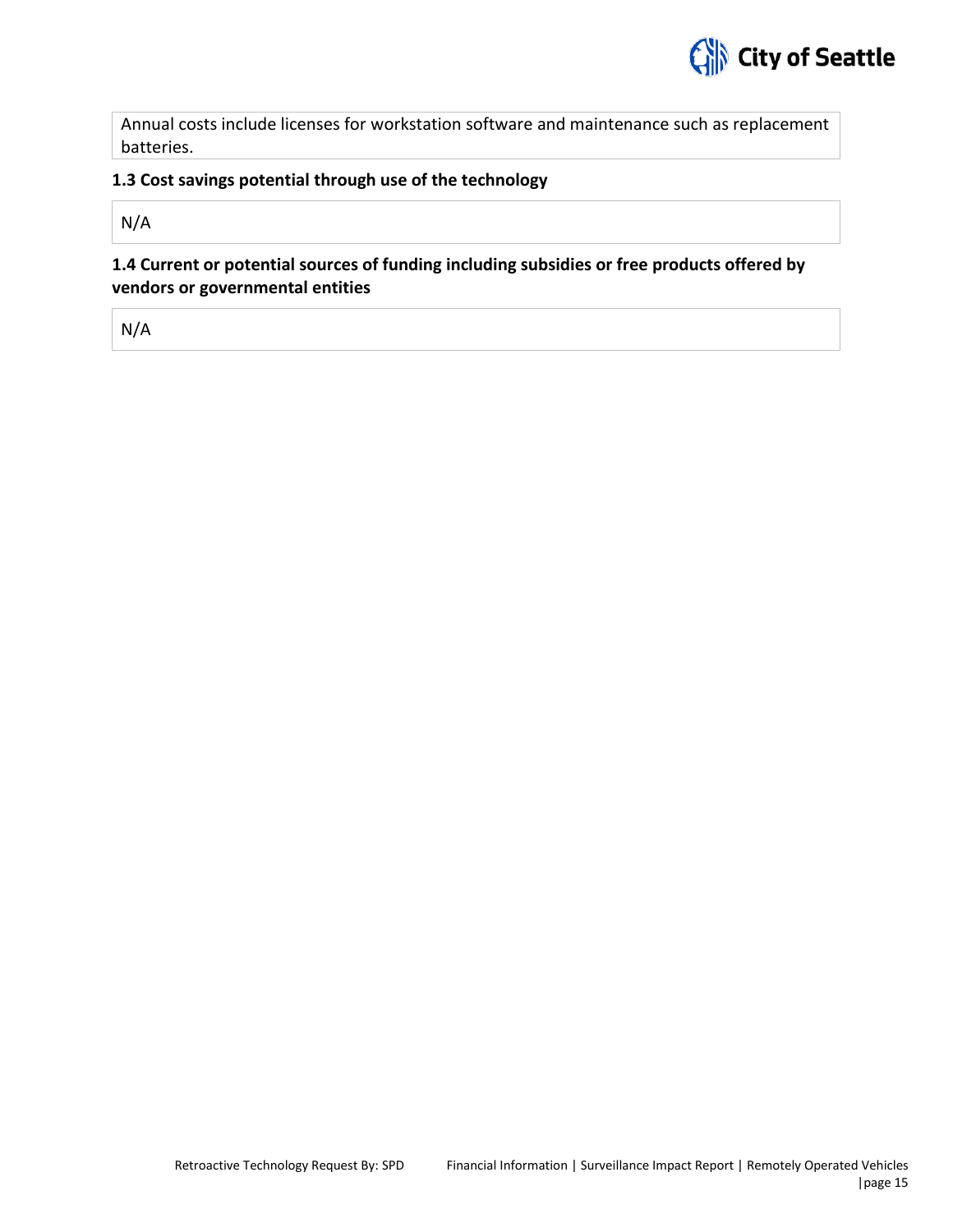

Annual costs include licenses for workstation software and maintenance such as replacement batteries.

#### **1.3 Cost savings potential through use of the technology**

N/A

**1.4 Current or potential sources of funding including subsidies or free products offered by vendors or governmental entities**

N/A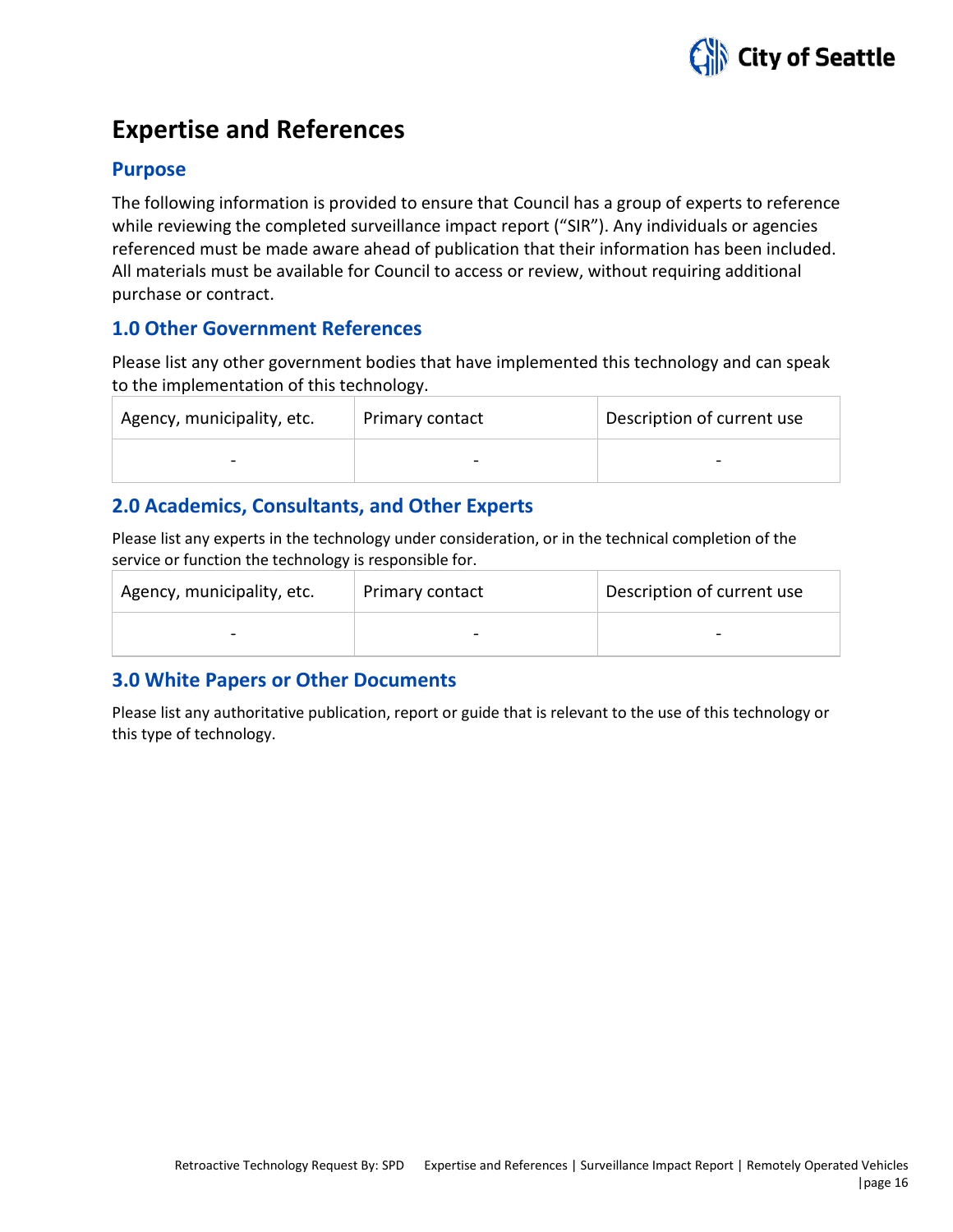

# **Expertise and References**

# **Purpose**

The following information is provided to ensure that Council has a group of experts to reference while reviewing the completed surveillance impact report ("SIR"). Any individuals or agencies referenced must be made aware ahead of publication that their information has been included. All materials must be available for Council to access or review, without requiring additional purchase or contract.

# **1.0 Other Government References**

Please list any other government bodies that have implemented this technology and can speak to the implementation of this technology.

| Agency, municipality, etc. | Primary contact | Description of current use |
|----------------------------|-----------------|----------------------------|
| -                          |                 |                            |

# **2.0 Academics, Consultants, and Other Experts**

Please list any experts in the technology under consideration, or in the technical completion of the service or function the technology is responsible for.

| Agency, municipality, etc. | Primary contact | Description of current use |
|----------------------------|-----------------|----------------------------|
| $\qquad \qquad$            |                 |                            |

# **3.0 White Papers or Other Documents**

Please list any authoritative publication, report or guide that is relevant to the use of this technology or this type of technology.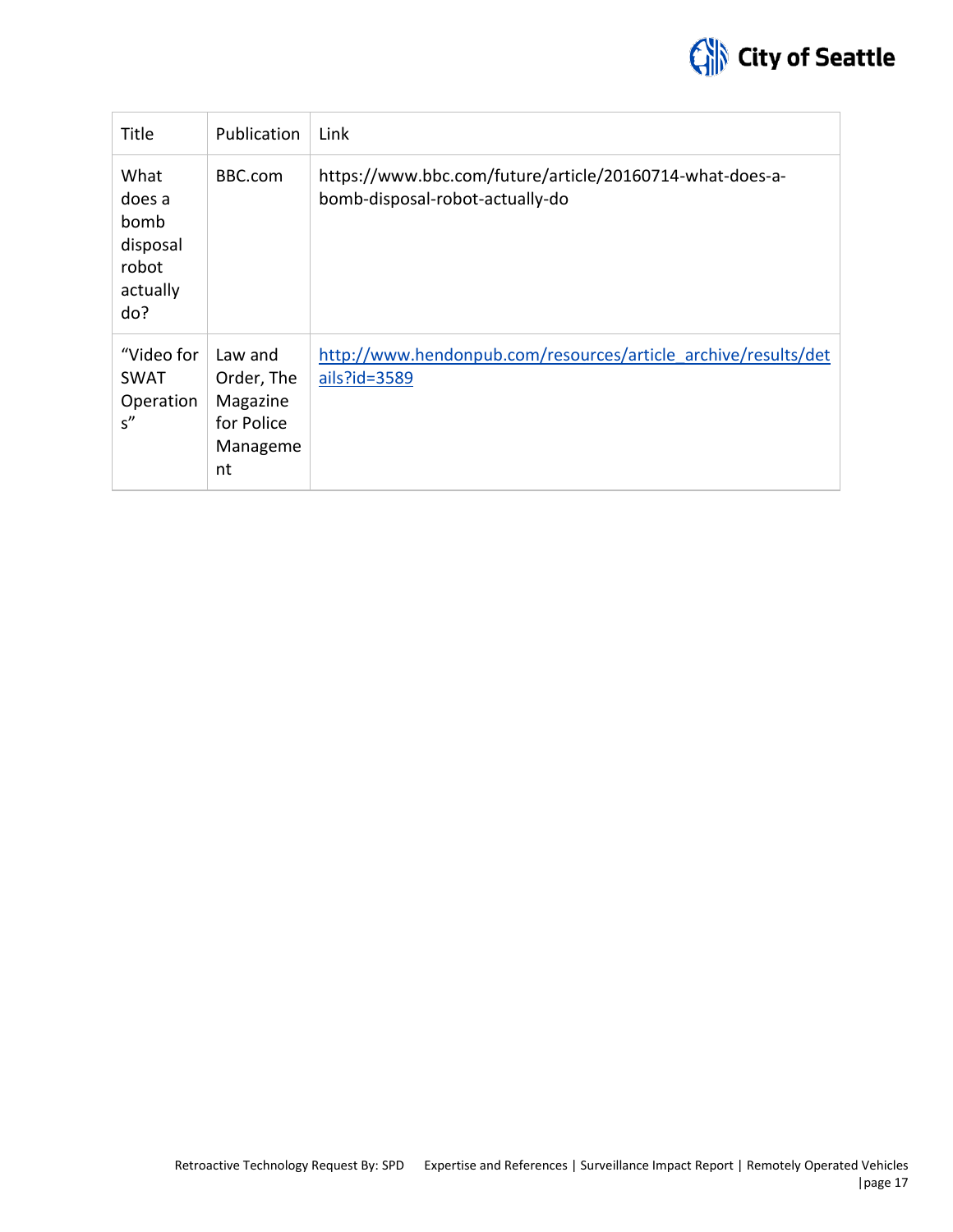

| Title                                                          | Publication                                                       | Link                                                                                        |
|----------------------------------------------------------------|-------------------------------------------------------------------|---------------------------------------------------------------------------------------------|
| What<br>does a<br>bomb<br>disposal<br>robot<br>actually<br>do? | BBC.com                                                           | https://www.bbc.com/future/article/20160714-what-does-a-<br>bomb-disposal-robot-actually-do |
| "Video for<br><b>SWAT</b><br>Operation<br>s''                  | Law and<br>Order, The<br>Magazine<br>for Police<br>Manageme<br>nt | http://www.hendonpub.com/resources/article archive/results/det<br>ails?id=3589              |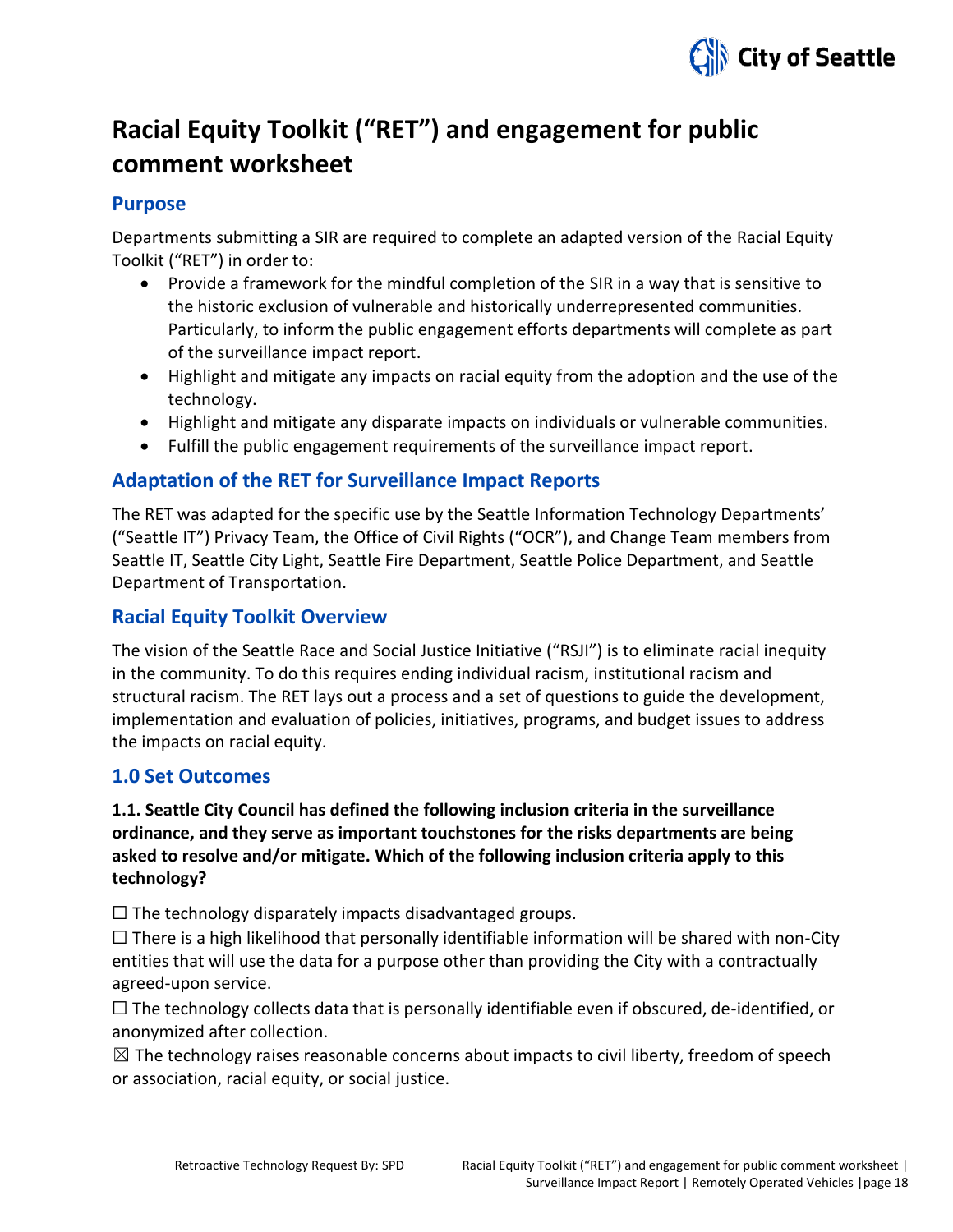

# **Racial Equity Toolkit ("RET") and engagement for public comment worksheet**

# **Purpose**

Departments submitting a SIR are required to complete an adapted version of the Racial Equity Toolkit ("RET") in order to:

- Provide a framework for the mindful completion of the SIR in a way that is sensitive to the historic exclusion of vulnerable and historically underrepresented communities. Particularly, to inform the public engagement efforts departments will complete as part of the surveillance impact report.
- Highlight and mitigate any impacts on racial equity from the adoption and the use of the technology.
- Highlight and mitigate any disparate impacts on individuals or vulnerable communities.
- Fulfill the public engagement requirements of the surveillance impact report.

# **Adaptation of the RET for Surveillance Impact Reports**

The RET was adapted for the specific use by the Seattle Information Technology Departments' ("Seattle IT") Privacy Team, the Office of Civil Rights ("OCR"), and Change Team members from Seattle IT, Seattle City Light, Seattle Fire Department, Seattle Police Department, and Seattle Department of Transportation.

# **Racial Equity Toolkit Overview**

The vision of the Seattle Race and Social Justice Initiative ("RSJI") is to eliminate racial inequity in the community. To do this requires ending individual racism, institutional racism and structural racism. The RET lays out a process and a set of questions to guide the development, implementation and evaluation of policies, initiatives, programs, and budget issues to address the impacts on racial equity.

# **1.0 Set Outcomes**

# **1.1. Seattle City Council has defined the following inclusion criteria in the surveillance ordinance, and they serve as important touchstones for the risks departments are being asked to resolve and/or mitigate. Which of the following inclusion criteria apply to this technology?**

 $\Box$  The technology disparately impacts disadvantaged groups.

 $\square$  There is a high likelihood that personally identifiable information will be shared with non-City entities that will use the data for a purpose other than providing the City with a contractually agreed-upon service.

 $\Box$  The technology collects data that is personally identifiable even if obscured, de-identified, or anonymized after collection.

 $\boxtimes$  The technology raises reasonable concerns about impacts to civil liberty, freedom of speech or association, racial equity, or social justice.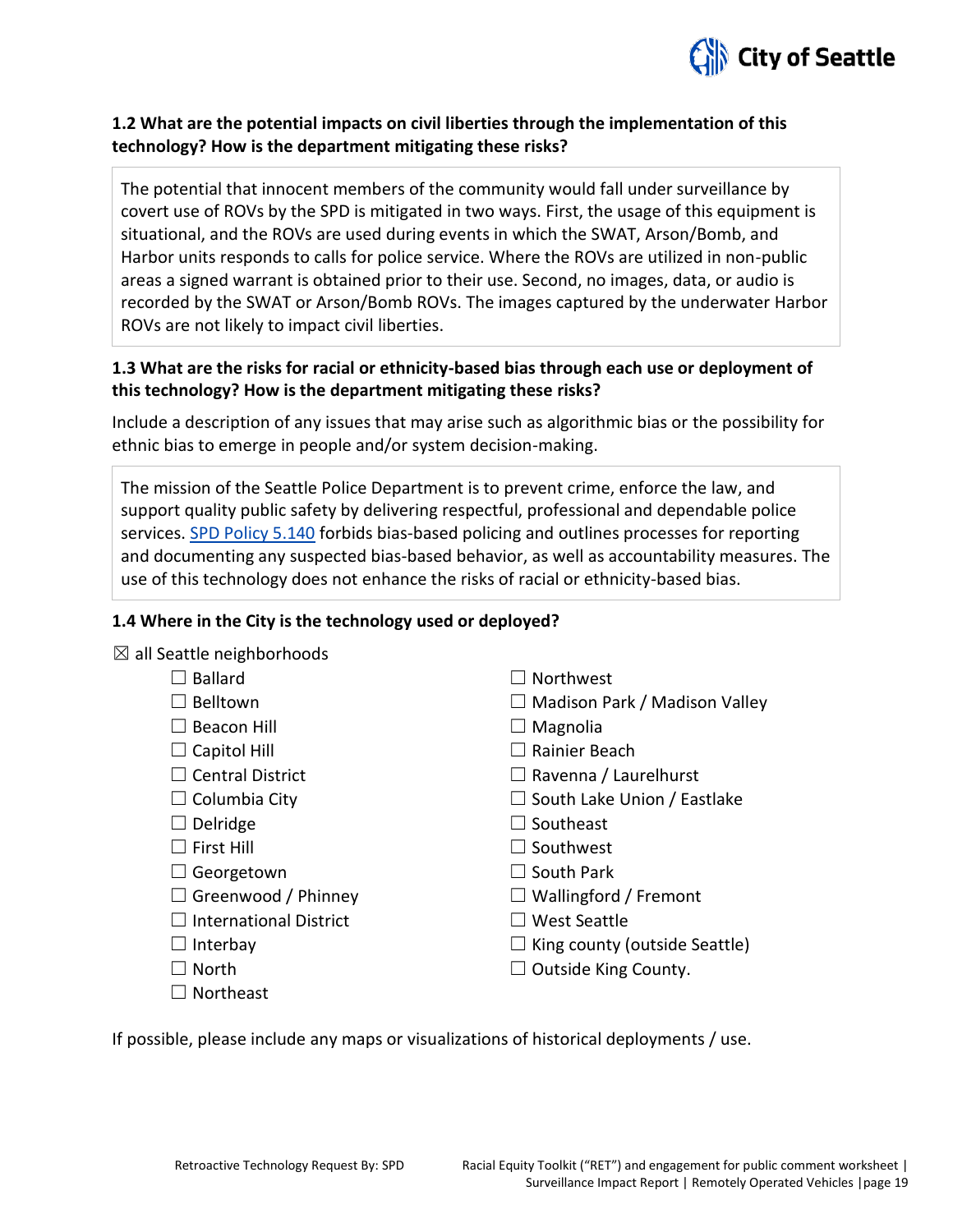

### **1.2 What are the potential impacts on civil liberties through the implementation of this technology? How is the department mitigating these risks?**

The potential that innocent members of the community would fall under surveillance by covert use of ROVs by the SPD is mitigated in two ways. First, the usage of this equipment is situational, and the ROVs are used during events in which the SWAT, Arson/Bomb, and Harbor units responds to calls for police service. Where the ROVs are utilized in non-public areas a signed warrant is obtained prior to their use. Second, no images, data, or audio is recorded by the SWAT or Arson/Bomb ROVs. The images captured by the underwater Harbor ROVs are not likely to impact civil liberties.

# **1.3 What are the risks for racial or ethnicity-based bias through each use or deployment of this technology? How is the department mitigating these risks?**

Include a description of any issues that may arise such as algorithmic bias or the possibility for ethnic bias to emerge in people and/or system decision-making.

The mission of the Seattle Police Department is to prevent crime, enforce the law, and support quality public safety by delivering respectful, professional and dependable police services. [SPD Policy 5.140](http://www.seattle.gov/police-manual/title-5---employee-conduct/5140---bias-free-policing) forbids bias-based policing and outlines processes for reporting and documenting any suspected bias-based behavior, as well as accountability measures. The use of this technology does not enhance the risks of racial or ethnicity-based bias.

#### **1.4 Where in the City is the technology used or deployed?**

 $\boxtimes$  all Seattle neighborhoods

| <b>Ballard</b>                | Northwest                            |
|-------------------------------|--------------------------------------|
| Belltown                      | $\Box$ Madison Park / Madison Valley |
| <b>Beacon Hill</b>            | $\Box$ Magnolia                      |
| Capitol Hill                  | Rainier Beach                        |
| $\Box$ Central District       | $\Box$ Ravenna / Laurelhurst         |
| $\Box$ Columbia City          | $\Box$ South Lake Union / Eastlake   |
| Delridge<br>ப                 | $\Box$ Southeast                     |
| $\Box$ First Hill             | $\Box$ Southwest                     |
| $\Box$ Georgetown             | $\Box$ South Park                    |
| $\Box$ Greenwood / Phinney    | $\Box$ Wallingford / Fremont         |
| <b>International District</b> | West Seattle                         |
| $\Box$ Interbay               | $\Box$ King county (outside Seattle) |
| <b>North</b>                  | Outside King County.                 |
| <b>Northeast</b>              |                                      |

If possible, please include any maps or visualizations of historical deployments / use.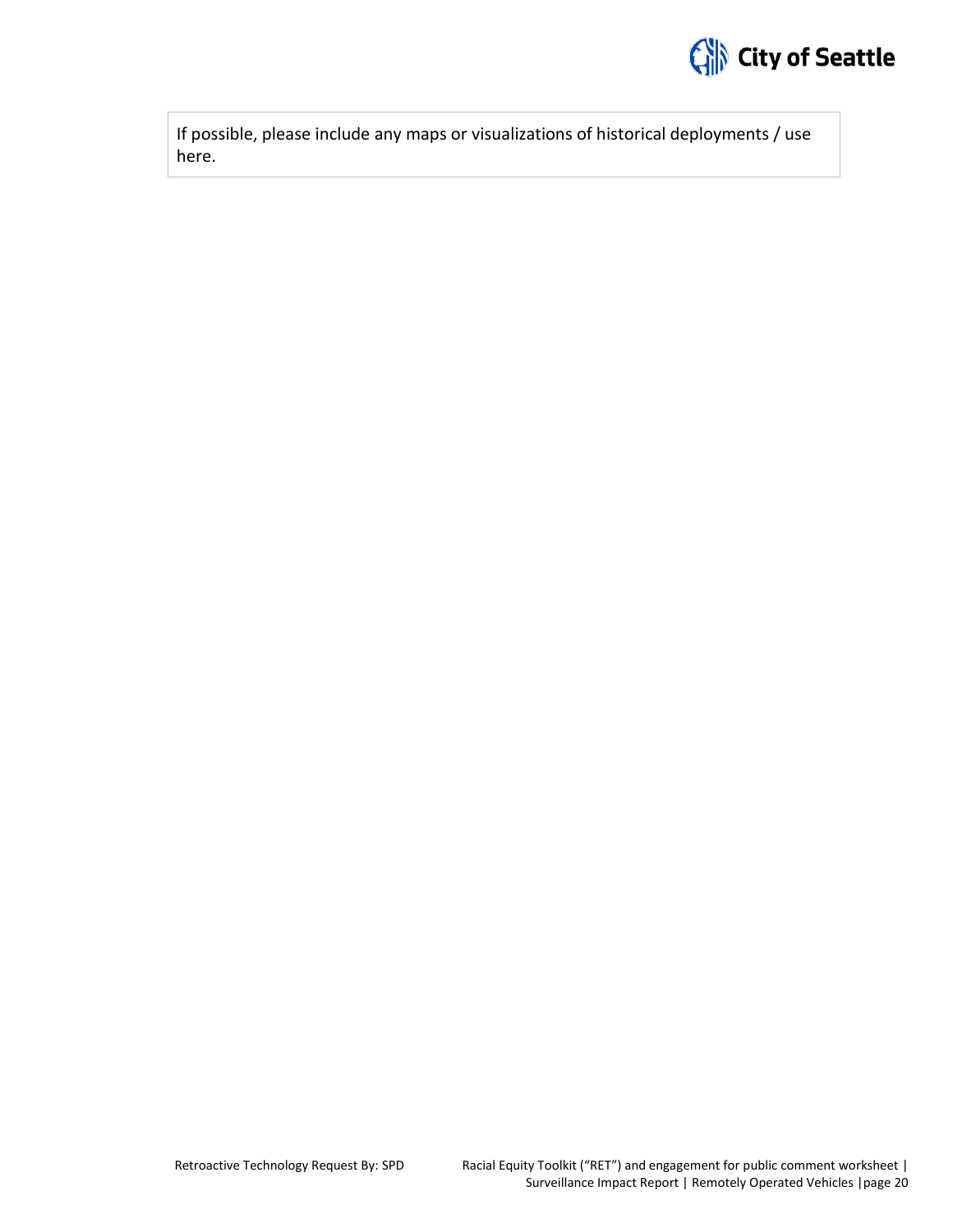

If possible, please include any maps or visualizations of historical deployments / use here.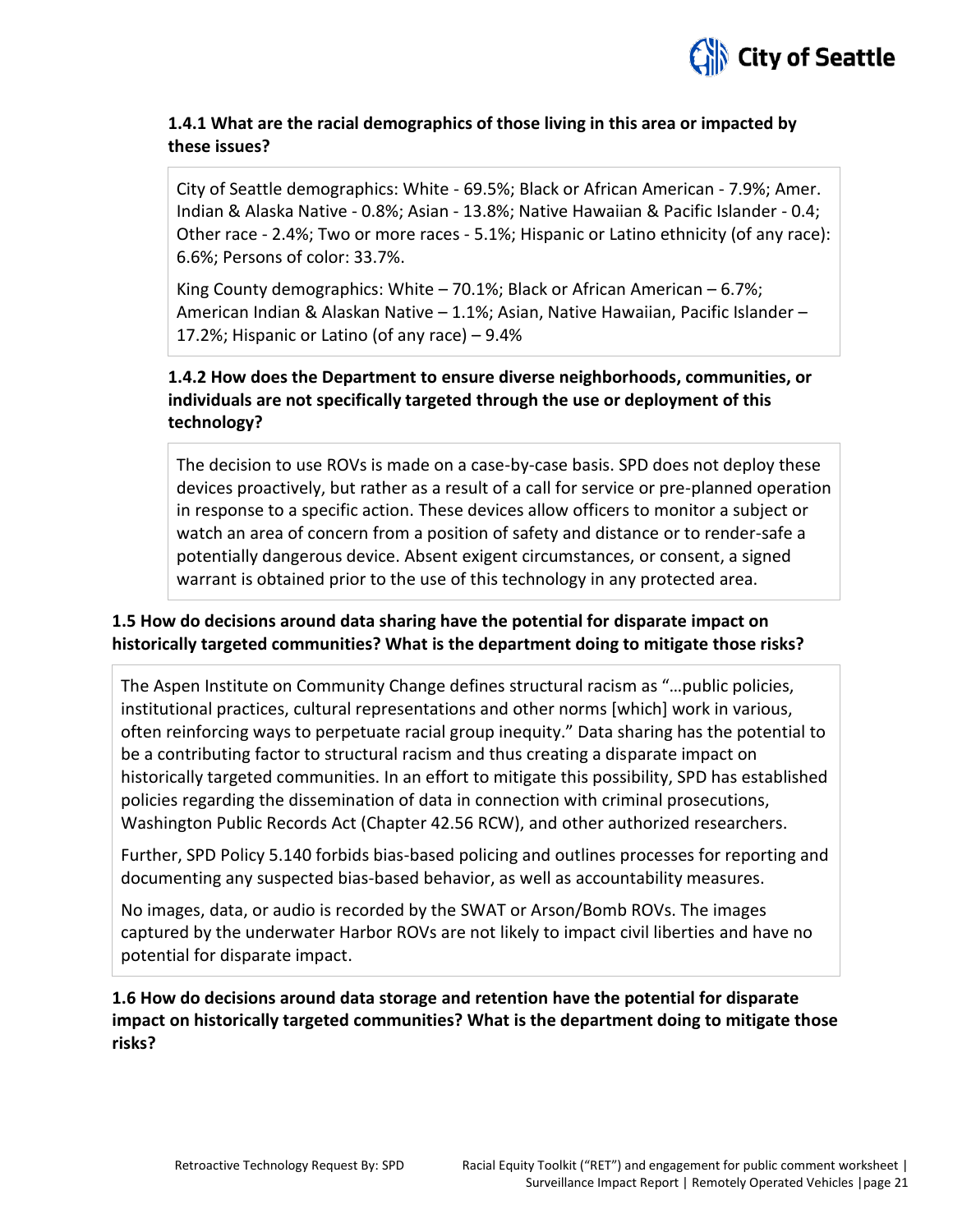

## **1.4.1 What are the racial demographics of those living in this area or impacted by these issues?**

City of Seattle demographics: White - 69.5%; Black or African American - 7.9%; Amer. Indian & Alaska Native - 0.8%; Asian - 13.8%; Native Hawaiian & Pacific Islander - 0.4; Other race - 2.4%; Two or more races - 5.1%; Hispanic or Latino ethnicity (of any race): 6.6%; Persons of color: 33.7%.

King County demographics: White  $-70.1\%$ ; Black or African American  $-6.7\%$ ; American Indian & Alaskan Native – 1.1%; Asian, Native Hawaiian, Pacific Islander – 17.2%; Hispanic or Latino (of any race) – 9.4%

# **1.4.2 How does the Department to ensure diverse neighborhoods, communities, or individuals are not specifically targeted through the use or deployment of this technology?**

The decision to use ROVs is made on a case-by-case basis. SPD does not deploy these devices proactively, but rather as a result of a call for service or pre-planned operation in response to a specific action. These devices allow officers to monitor a subject or watch an area of concern from a position of safety and distance or to render-safe a potentially dangerous device. Absent exigent circumstances, or consent, a signed warrant is obtained prior to the use of this technology in any protected area.

## **1.5 How do decisions around data sharing have the potential for disparate impact on historically targeted communities? What is the department doing to mitigate those risks?**

The Aspen Institute on Community Change defines structural racism as "…public policies, institutional practices, cultural representations and other norms [which] work in various, often reinforcing ways to perpetuate racial group inequity." Data sharing has the potential to be a contributing factor to structural racism and thus creating a disparate impact on historically targeted communities. In an effort to mitigate this possibility, SPD has established policies regarding the dissemination of data in connection with criminal prosecutions, Washington Public Records Act (Chapter 42.56 RCW), and other authorized researchers.

Further, SPD Policy 5.140 forbids bias-based policing and outlines processes for reporting and documenting any suspected bias-based behavior, as well as accountability measures.

No images, data, or audio is recorded by the SWAT or Arson/Bomb ROVs. The images captured by the underwater Harbor ROVs are not likely to impact civil liberties and have no potential for disparate impact.

**1.6 How do decisions around data storage and retention have the potential for disparate impact on historically targeted communities? What is the department doing to mitigate those risks?**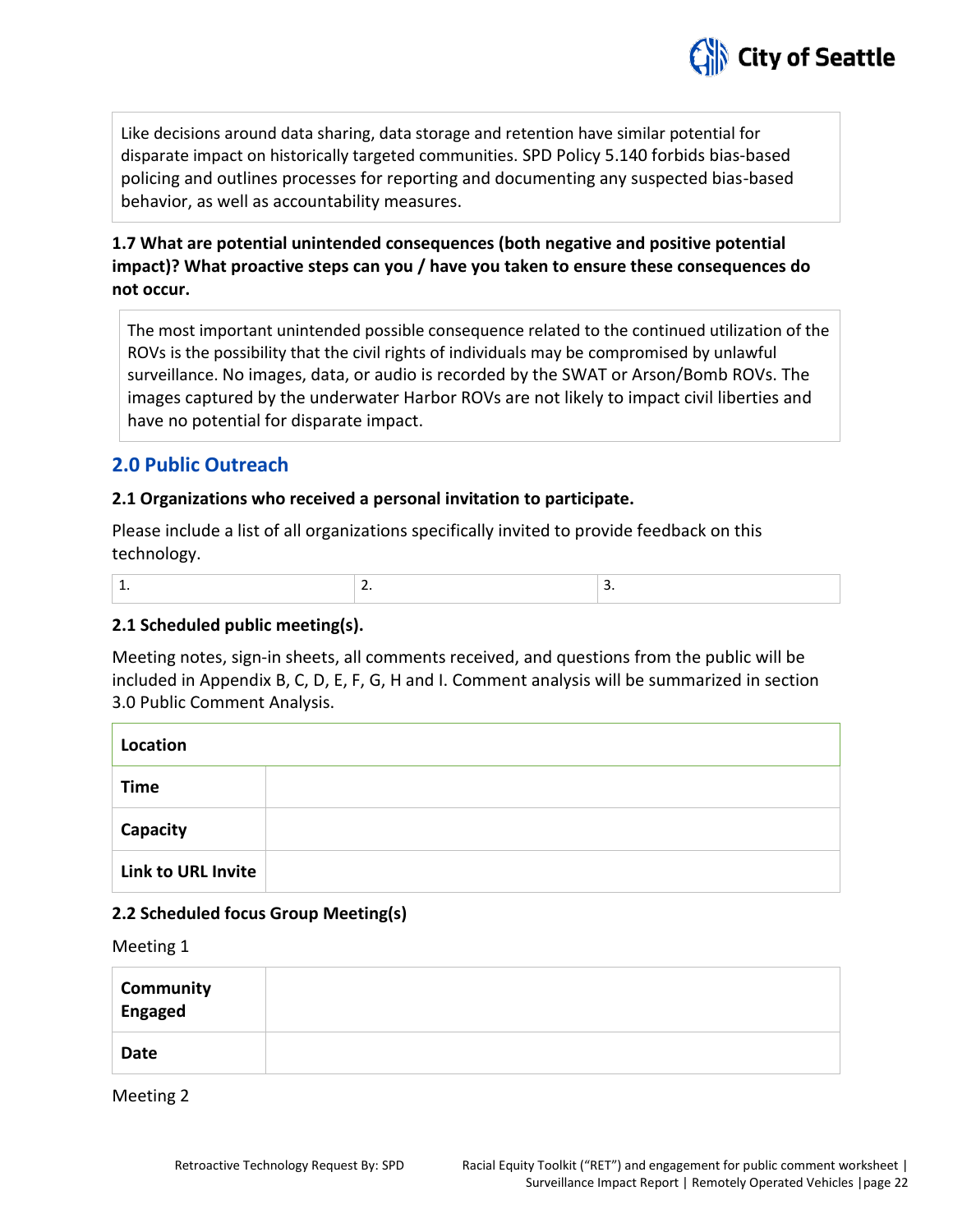

Like decisions around data sharing, data storage and retention have similar potential for disparate impact on historically targeted communities. SPD Policy 5.140 forbids bias-based policing and outlines processes for reporting and documenting any suspected bias-based behavior, as well as accountability measures.

# **1.7 What are potential unintended consequences (both negative and positive potential impact)? What proactive steps can you / have you taken to ensure these consequences do not occur.**

The most important unintended possible consequence related to the continued utilization of the ROVs is the possibility that the civil rights of individuals may be compromised by unlawful surveillance. No images, data, or audio is recorded by the SWAT or Arson/Bomb ROVs. The images captured by the underwater Harbor ROVs are not likely to impact civil liberties and have no potential for disparate impact.

# **2.0 Public Outreach**

#### **2.1 Organizations who received a personal invitation to participate.**

Please include a list of all organizations specifically invited to provide feedback on this technology.

#### **2.1 Scheduled public meeting(s).**

Meeting notes, sign-in sheets, all comments received, and questions from the public will be included in Appendix B, C, D, E, F, G, H and I. Comment analysis will be summarized in section 3.0 Public Comment Analysis.

| Location                  |  |
|---------------------------|--|
| <b>Time</b>               |  |
| Capacity                  |  |
| <b>Link to URL Invite</b> |  |

#### **2.2 Scheduled focus Group Meeting(s)**

Meeting 1

| Community<br>Engaged |  |
|----------------------|--|
| Date                 |  |

Meeting 2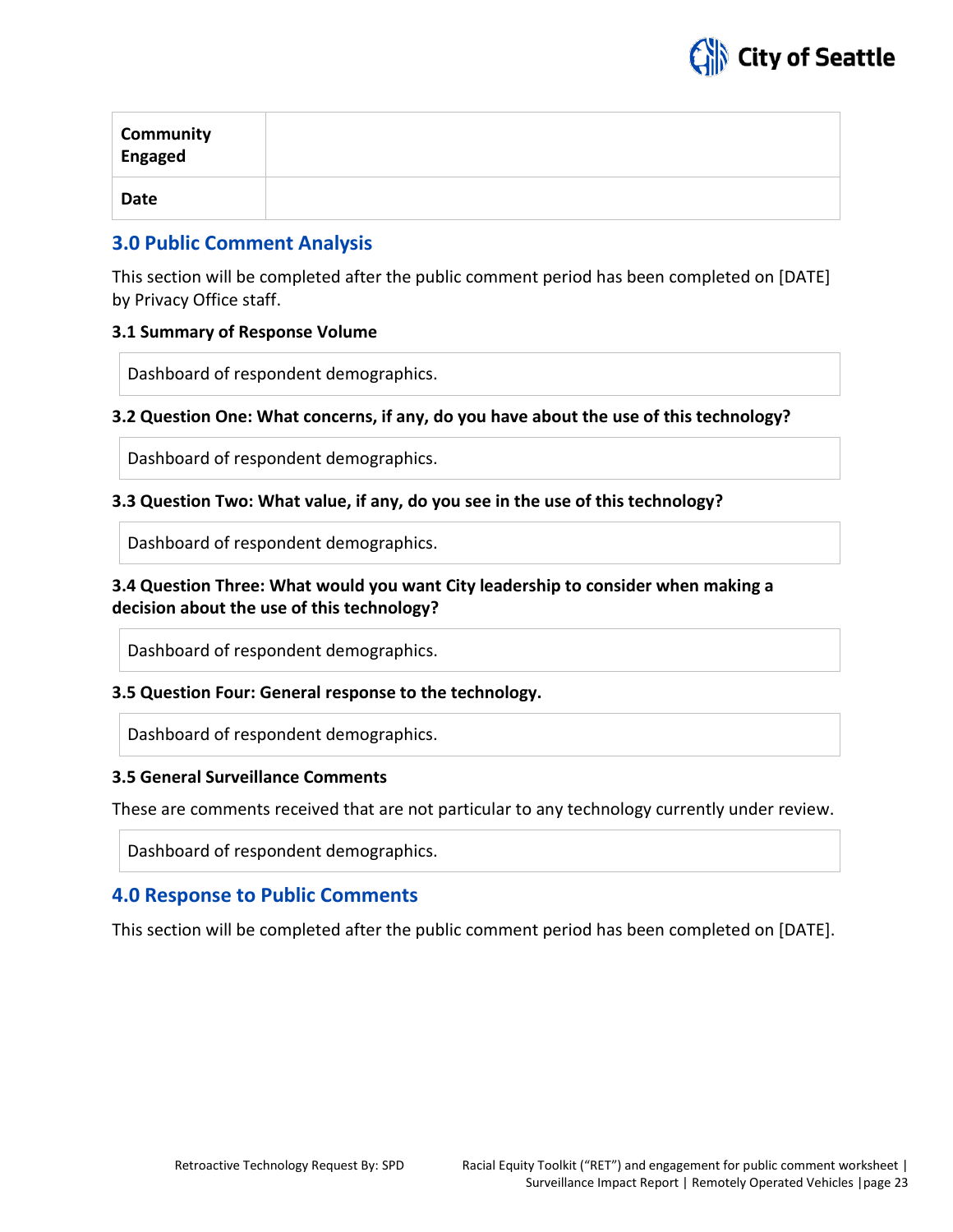

| Community<br>Engaged |  |
|----------------------|--|
| Date                 |  |

# **3.0 Public Comment Analysis**

This section will be completed after the public comment period has been completed on [DATE] by Privacy Office staff.

#### **3.1 Summary of Response Volume**

Dashboard of respondent demographics.

#### **3.2 Question One: What concerns, if any, do you have about the use of this technology?**

Dashboard of respondent demographics.

#### **3.3 Question Two: What value, if any, do you see in the use of this technology?**

Dashboard of respondent demographics.

#### **3.4 Question Three: What would you want City leadership to consider when making a decision about the use of this technology?**

Dashboard of respondent demographics.

#### **3.5 Question Four: General response to the technology.**

Dashboard of respondent demographics.

#### **3.5 General Surveillance Comments**

These are comments received that are not particular to any technology currently under review.

Dashboard of respondent demographics.

# **4.0 Response to Public Comments**

This section will be completed after the public comment period has been completed on [DATE].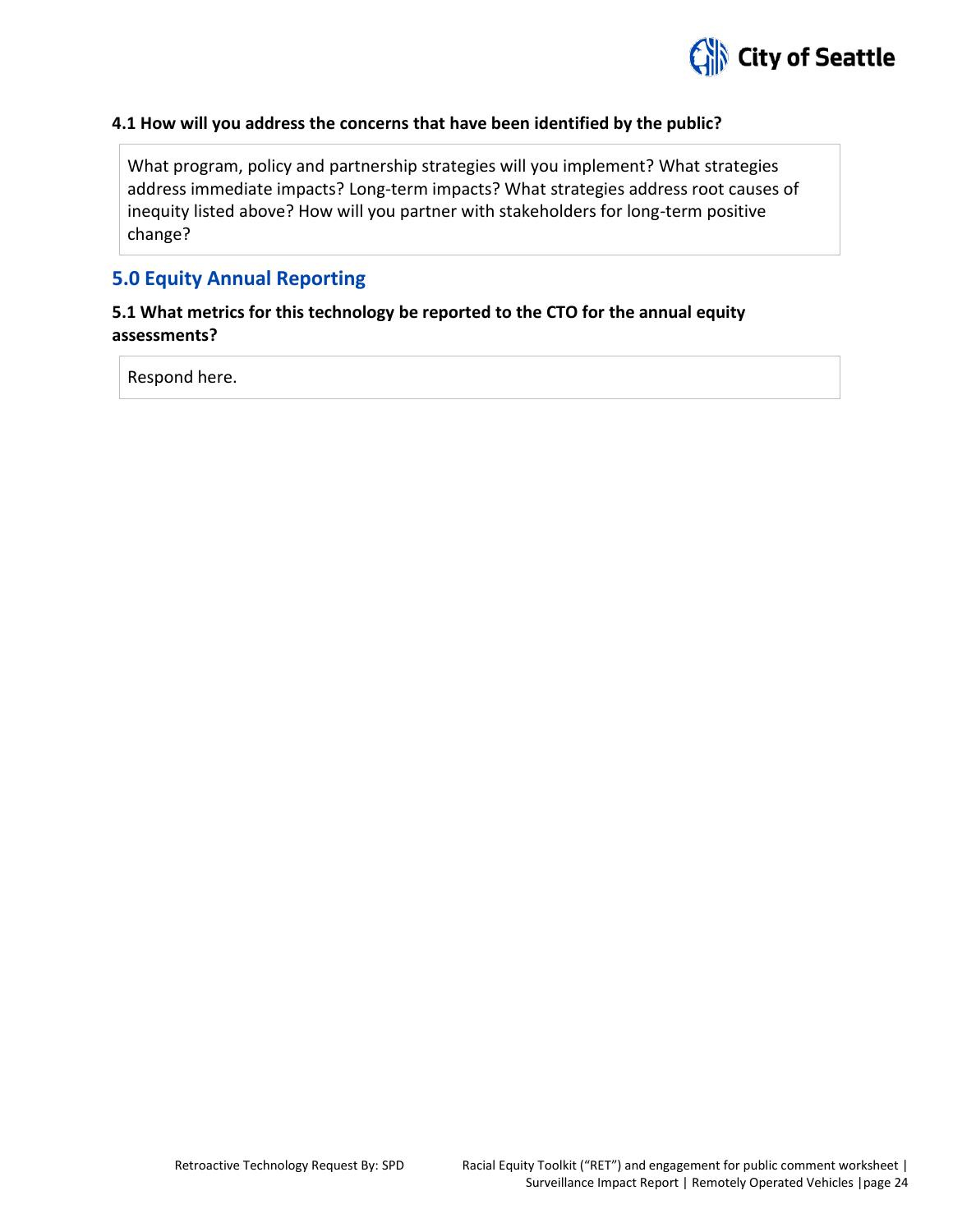

#### **4.1 How will you address the concerns that have been identified by the public?**

What program, policy and partnership strategies will you implement? What strategies address immediate impacts? Long-term impacts? What strategies address root causes of inequity listed above? How will you partner with stakeholders for long-term positive change?

# **5.0 Equity Annual Reporting**

## **5.1 What metrics for this technology be reported to the CTO for the annual equity assessments?**

Respond here.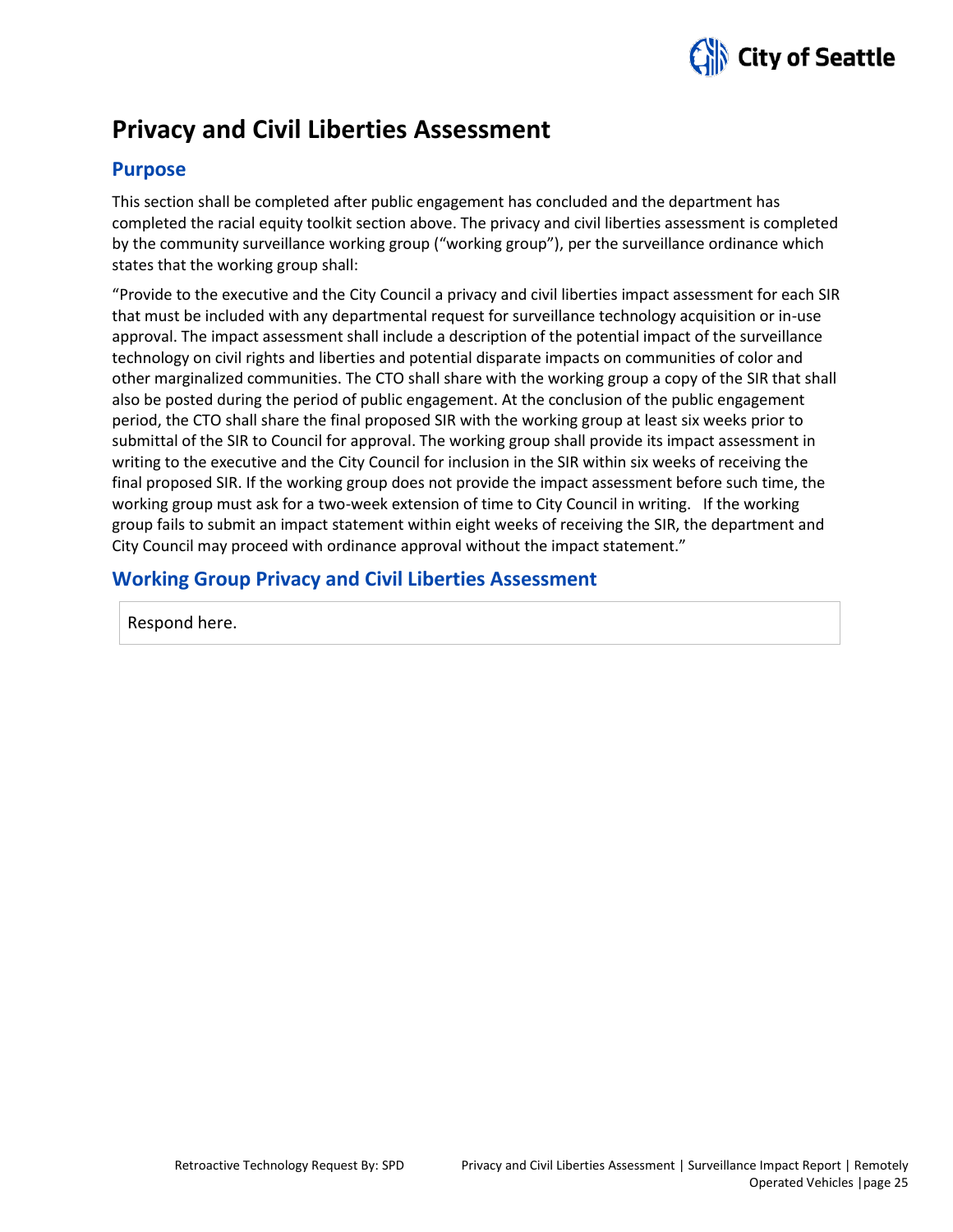

# **Privacy and Civil Liberties Assessment**

# **Purpose**

This section shall be completed after public engagement has concluded and the department has completed the racial equity toolkit section above. The privacy and civil liberties assessment is completed by the community surveillance working group ("working group"), per the surveillance ordinance which states that the working group shall:

"Provide to the executive and the City Council a privacy and civil liberties impact assessment for each SIR that must be included with any departmental request for surveillance technology acquisition or in-use approval. The impact assessment shall include a description of the potential impact of the surveillance technology on civil rights and liberties and potential disparate impacts on communities of color and other marginalized communities. The CTO shall share with the working group a copy of the SIR that shall also be posted during the period of public engagement. At the conclusion of the public engagement period, the CTO shall share the final proposed SIR with the working group at least six weeks prior to submittal of the SIR to Council for approval. The working group shall provide its impact assessment in writing to the executive and the City Council for inclusion in the SIR within six weeks of receiving the final proposed SIR. If the working group does not provide the impact assessment before such time, the working group must ask for a two-week extension of time to City Council in writing. If the working group fails to submit an impact statement within eight weeks of receiving the SIR, the department and City Council may proceed with ordinance approval without the impact statement."

# **Working Group Privacy and Civil Liberties Assessment**

Respond here.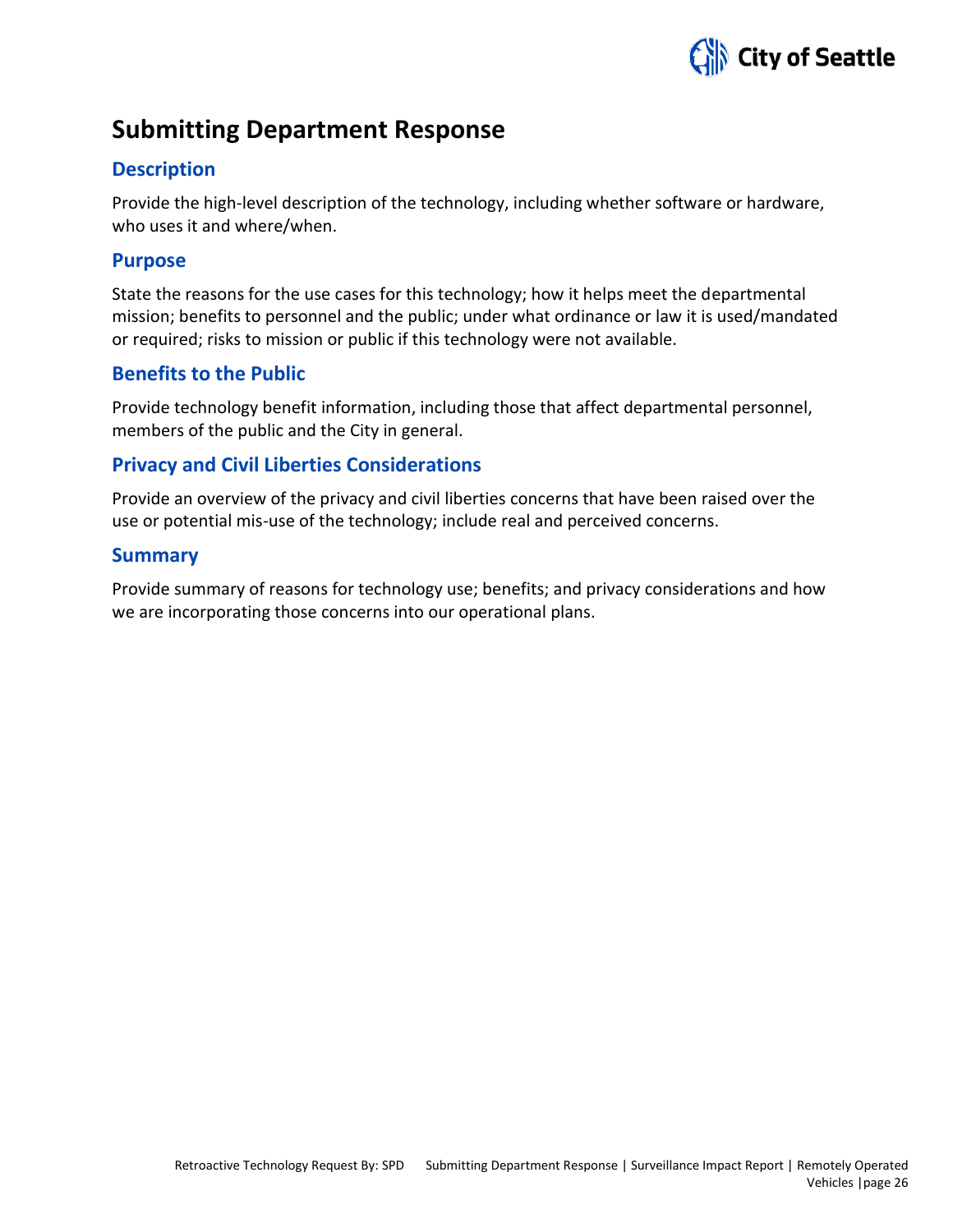

# **Submitting Department Response**

# **Description**

Provide the high-level description of the technology, including whether software or hardware, who uses it and where/when.

# **Purpose**

State the reasons for the use cases for this technology; how it helps meet the departmental mission; benefits to personnel and the public; under what ordinance or law it is used/mandated or required; risks to mission or public if this technology were not available.

# **Benefits to the Public**

Provide technology benefit information, including those that affect departmental personnel, members of the public and the City in general.

# **Privacy and Civil Liberties Considerations**

Provide an overview of the privacy and civil liberties concerns that have been raised over the use or potential mis-use of the technology; include real and perceived concerns.

# **Summary**

Provide summary of reasons for technology use; benefits; and privacy considerations and how we are incorporating those concerns into our operational plans.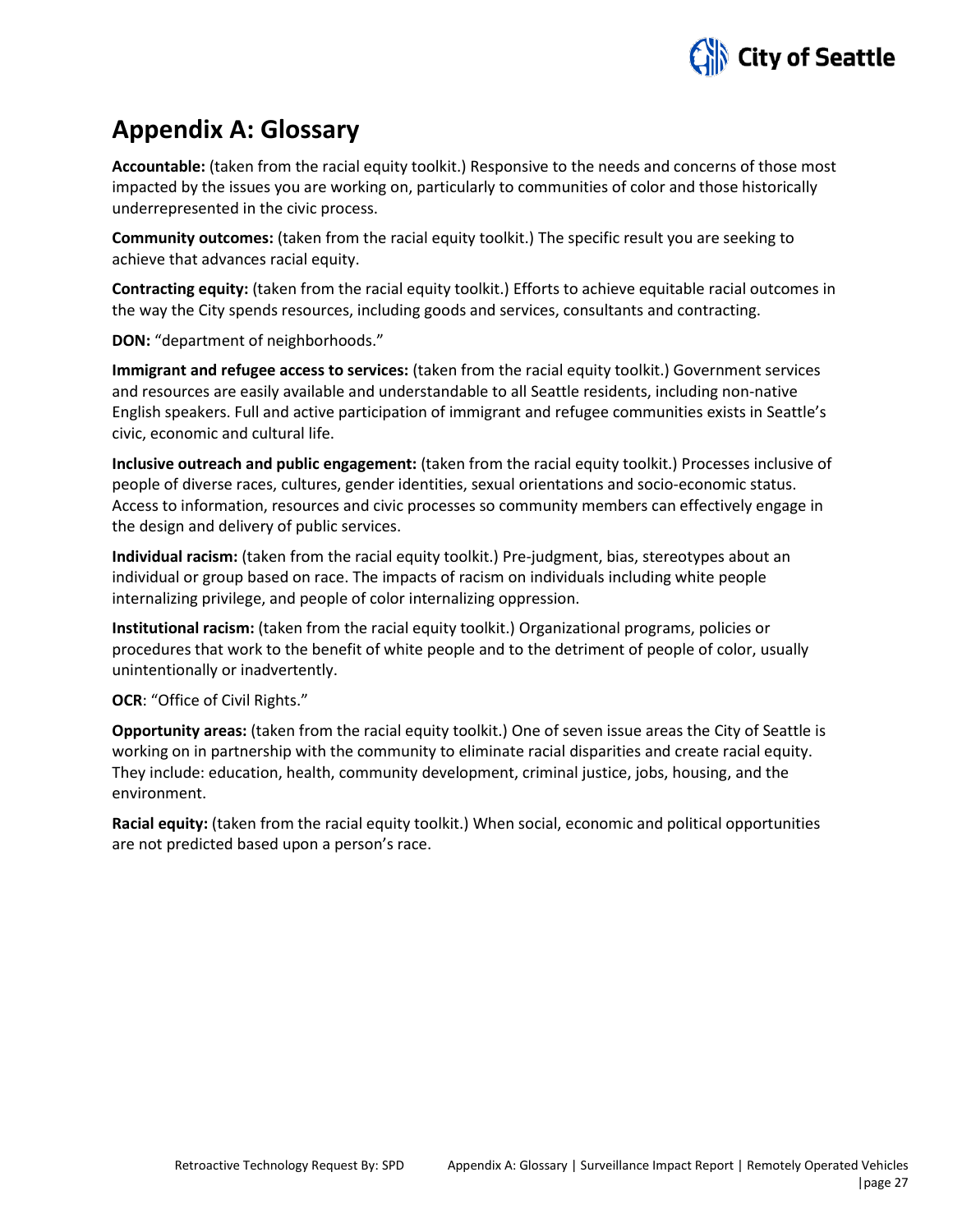

# **Appendix A: Glossary**

**Accountable:** (taken from the racial equity toolkit.) Responsive to the needs and concerns of those most impacted by the issues you are working on, particularly to communities of color and those historically underrepresented in the civic process.

**Community outcomes:** (taken from the racial equity toolkit.) The specific result you are seeking to achieve that advances racial equity.

**Contracting equity:** (taken from the racial equity toolkit.) Efforts to achieve equitable racial outcomes in the way the City spends resources, including goods and services, consultants and contracting.

**DON:** "department of neighborhoods."

**Immigrant and refugee access to services:** (taken from the racial equity toolkit.) Government services and resources are easily available and understandable to all Seattle residents, including non-native English speakers. Full and active participation of immigrant and refugee communities exists in Seattle's civic, economic and cultural life.

**Inclusive outreach and public engagement:** (taken from the racial equity toolkit.) Processes inclusive of people of diverse races, cultures, gender identities, sexual orientations and socio-economic status. Access to information, resources and civic processes so community members can effectively engage in the design and delivery of public services.

**Individual racism:** (taken from the racial equity toolkit.) Pre-judgment, bias, stereotypes about an individual or group based on race. The impacts of racism on individuals including white people internalizing privilege, and people of color internalizing oppression.

**Institutional racism:** (taken from the racial equity toolkit.) Organizational programs, policies or procedures that work to the benefit of white people and to the detriment of people of color, usually unintentionally or inadvertently.

**OCR**: "Office of Civil Rights."

**Opportunity areas:** (taken from the racial equity toolkit.) One of seven issue areas the City of Seattle is working on in partnership with the community to eliminate racial disparities and create racial equity. They include: education, health, community development, criminal justice, jobs, housing, and the environment.

**Racial equity:** (taken from the racial equity toolkit.) When social, economic and political opportunities are not predicted based upon a person's race.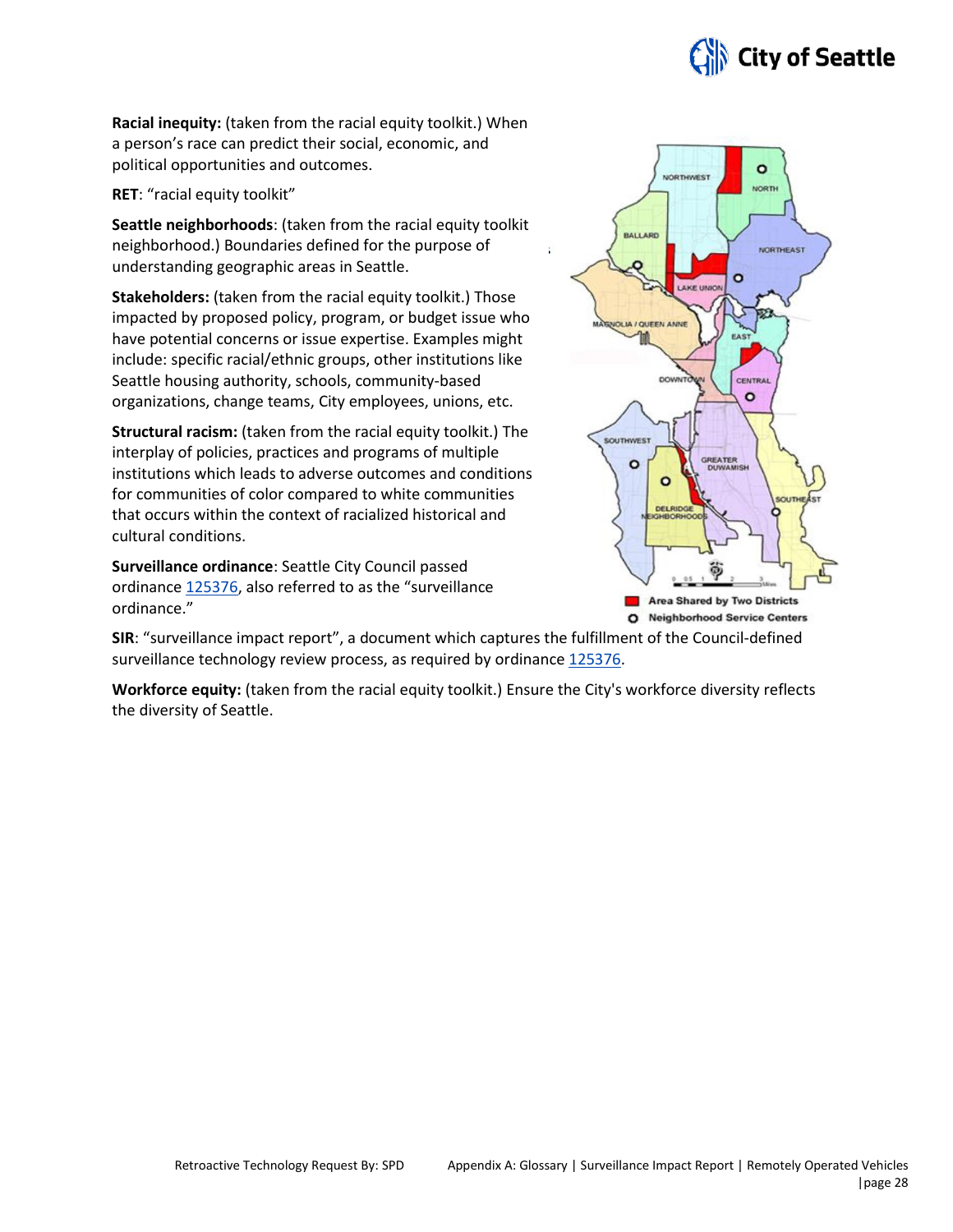

**Racial inequity:** (taken from the racial equity toolkit.) When a person's race can predict their social, economic, and political opportunities and outcomes.

**RET**: "racial equity toolkit"

**Seattle neighborhoods**: (taken from the racial equity toolkit neighborhood.) Boundaries defined for the purpose of understanding geographic areas in Seattle.

**Stakeholders:** (taken from the racial equity toolkit.) Those impacted by proposed policy, program, or budget issue who have potential concerns or issue expertise. Examples might include: specific racial/ethnic groups, other institutions like Seattle housing authority, schools, community-based organizations, change teams, City employees, unions, etc.

**Structural racism:** (taken from the racial equity toolkit.) The interplay of policies, practices and programs of multiple institutions which leads to adverse outcomes and conditions for communities of color compared to white communities that occurs within the context of racialized historical and cultural conditions.

**Surveillance ordinance**: Seattle City Council passed ordinance [125376,](http://seattle.legistar.com/LegislationDetail.aspx?ID=2981172&GUID=0B2FEFC0-822F-4907-9409-E318537E5330&Options=Advanced&Search=) also referred to as the "surveillance ordinance."



**SIR**: "surveillance impact report", a document which captures the fulfillment of the Council-defined surveillance technology review process, as required by ordinanc[e 125376.](http://seattle.legistar.com/LegislationDetail.aspx?ID=2981172&GUID=0B2FEFC0-822F-4907-9409-E318537E5330&Options=Advanced&Search=)

**Workforce equity:** (taken from the racial equity toolkit.) Ensure the City's workforce diversity reflects the diversity of Seattle.